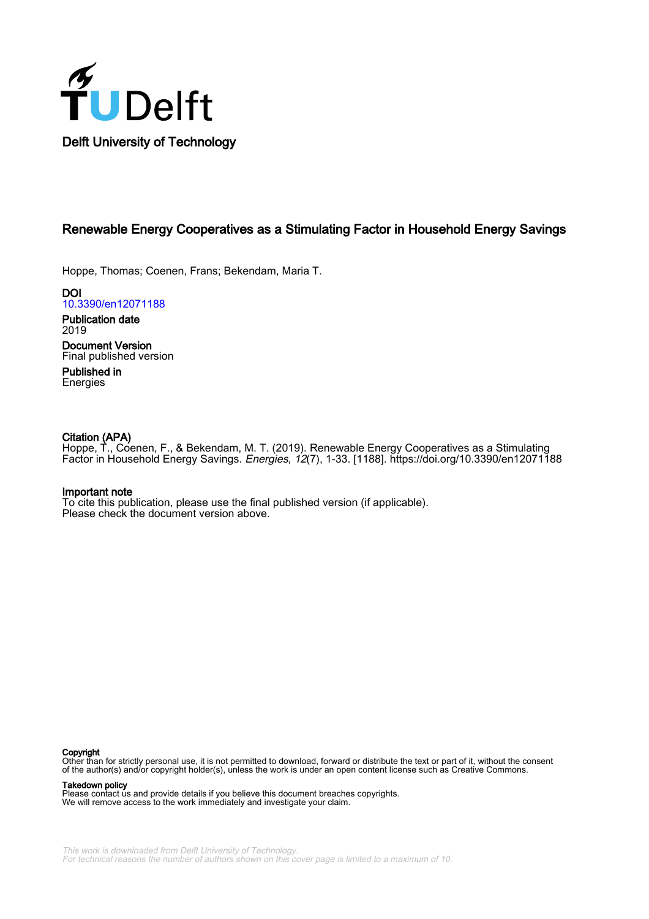

# Renewable Energy Cooperatives as a Stimulating Factor in Household Energy Savings

Hoppe, Thomas; Coenen, Frans; Bekendam, Maria T.

**DOI** [10.3390/en12071188](https://doi.org/10.3390/en12071188)

Publication date 2019

Document Version Final published version

Published in **Energies** 

## Citation (APA)

Hoppe, T., Coenen, F., & Bekendam, M. T. (2019). Renewable Energy Cooperatives as a Stimulating Factor in Household Energy Savings. Energies, 12(7), 1-33. [1188].<https://doi.org/10.3390/en12071188>

## Important note

To cite this publication, please use the final published version (if applicable). Please check the document version above.

#### Copyright

Other than for strictly personal use, it is not permitted to download, forward or distribute the text or part of it, without the consent of the author(s) and/or copyright holder(s), unless the work is under an open content license such as Creative Commons.

Takedown policy

Please contact us and provide details if you believe this document breaches copyrights. We will remove access to the work immediately and investigate your claim.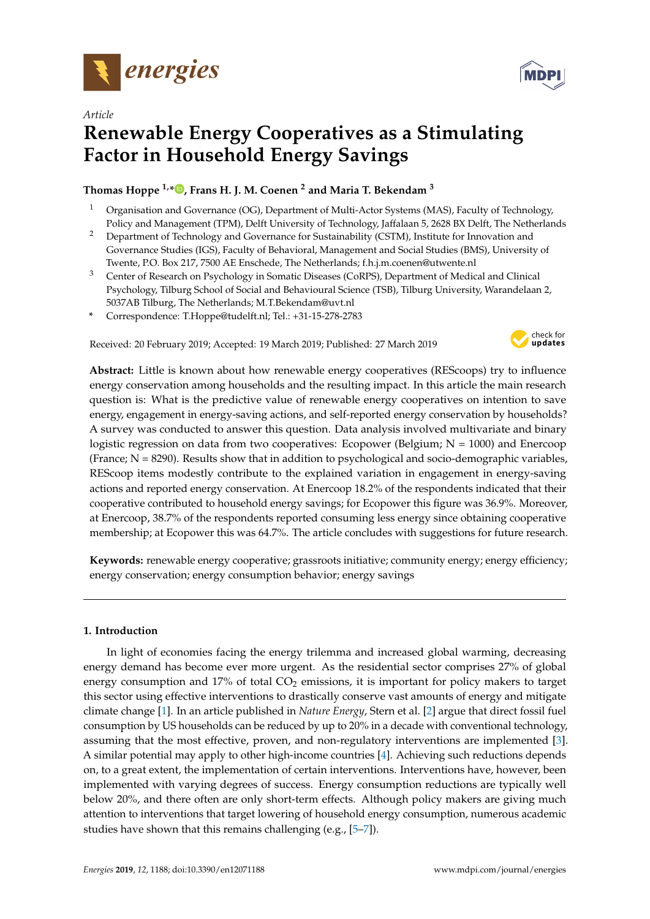

*Article*



# **Renewable Energy Cooperatives as a Stimulating Factor in Household Energy Savings**

# **Thomas Hoppe 1,\* [,](https://orcid.org/0000-0002-0770-4858) Frans H. J. M. Coenen <sup>2</sup> and Maria T. Bekendam <sup>3</sup>**

- <sup>1</sup> Organisation and Governance (OG), Department of Multi-Actor Systems (MAS), Faculty of Technology, Policy and Management (TPM), Delft University of Technology, Jaffalaan 5, 2628 BX Delft, The Netherlands
- <sup>2</sup> Department of Technology and Governance for Sustainability (CSTM), Institute for Innovation and Governance Studies (IGS), Faculty of Behavioral, Management and Social Studies (BMS), University of Twente, P.O. Box 217, 7500 AE Enschede, The Netherlands; f.h.j.m.coenen@utwente.nl
- <sup>3</sup> Center of Research on Psychology in Somatic Diseases (CoRPS), Department of Medical and Clinical Psychology, Tilburg School of Social and Behavioural Science (TSB), Tilburg University, Warandelaan 2, 5037AB Tilburg, The Netherlands; M.T.Bekendam@uvt.nl
- **\*** Correspondence: T.Hoppe@tudelft.nl; Tel.: +31-15-278-2783

Received: 20 February 2019; Accepted: 19 March 2019; Published: 27 March 2019



**MDP** 

**Abstract:** Little is known about how renewable energy cooperatives (REScoops) try to influence energy conservation among households and the resulting impact. In this article the main research question is: What is the predictive value of renewable energy cooperatives on intention to save energy, engagement in energy-saving actions, and self-reported energy conservation by households? A survey was conducted to answer this question. Data analysis involved multivariate and binary logistic regression on data from two cooperatives: Ecopower (Belgium; N = 1000) and Enercoop (France; N = 8290). Results show that in addition to psychological and socio-demographic variables, REScoop items modestly contribute to the explained variation in engagement in energy-saving actions and reported energy conservation. At Enercoop 18.2% of the respondents indicated that their cooperative contributed to household energy savings; for Ecopower this figure was 36.9%. Moreover, at Enercoop, 38.7% of the respondents reported consuming less energy since obtaining cooperative membership; at Ecopower this was 64.7%. The article concludes with suggestions for future research.

**Keywords:** renewable energy cooperative; grassroots initiative; community energy; energy efficiency; energy conservation; energy consumption behavior; energy savings

## **1. Introduction**

In light of economies facing the energy trilemma and increased global warming, decreasing energy demand has become ever more urgent. As the residential sector comprises 27% of global energy consumption and  $17\%$  of total  $CO<sub>2</sub>$  emissions, it is important for policy makers to target this sector using effective interventions to drastically conserve vast amounts of energy and mitigate climate change [\[1\]](#page-30-0). In an article published in *Nature Energy*, Stern et al. [\[2\]](#page-30-1) argue that direct fossil fuel consumption by US households can be reduced by up to 20% in a decade with conventional technology, assuming that the most effective, proven, and non-regulatory interventions are implemented [\[3\]](#page-31-0). A similar potential may apply to other high-income countries [\[4\]](#page-31-1). Achieving such reductions depends on, to a great extent, the implementation of certain interventions. Interventions have, however, been implemented with varying degrees of success. Energy consumption reductions are typically well below 20%, and there often are only short-term effects. Although policy makers are giving much attention to interventions that target lowering of household energy consumption, numerous academic studies have shown that this remains challenging (e.g., [\[5](#page-31-2)[–7\]](#page-31-3)).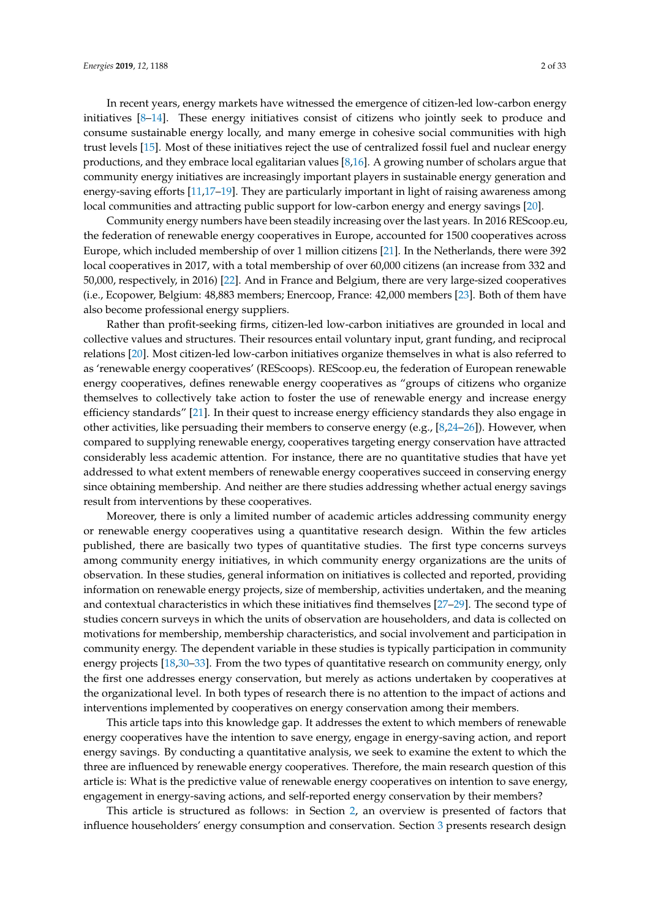In recent years, energy markets have witnessed the emergence of citizen-led low-carbon energy initiatives  $[8-14]$  $[8-14]$ . These energy initiatives consist of citizens who jointly seek to produce and consume sustainable energy locally, and many emerge in cohesive social communities with high trust levels [\[15\]](#page-31-6). Most of these initiatives reject the use of centralized fossil fuel and nuclear energy productions, and they embrace local egalitarian values [\[8](#page-31-4)[,16\]](#page-31-7). A growing number of scholars argue that community energy initiatives are increasingly important players in sustainable energy generation and energy-saving efforts [\[11,](#page-31-8)[17](#page-31-9)[–19\]](#page-31-10). They are particularly important in light of raising awareness among local communities and attracting public support for low-carbon energy and energy savings [\[20\]](#page-31-11).

Community energy numbers have been steadily increasing over the last years. In 2016 REScoop.eu, the federation of renewable energy cooperatives in Europe, accounted for 1500 cooperatives across Europe, which included membership of over 1 million citizens [\[21\]](#page-31-12). In the Netherlands, there were 392 local cooperatives in 2017, with a total membership of over 60,000 citizens (an increase from 332 and 50,000, respectively, in 2016) [\[22\]](#page-31-13). And in France and Belgium, there are very large-sized cooperatives (i.e., Ecopower, Belgium: 48,883 members; Enercoop, France: 42,000 members [\[23\]](#page-31-14). Both of them have also become professional energy suppliers.

Rather than profit-seeking firms, citizen-led low-carbon initiatives are grounded in local and collective values and structures. Their resources entail voluntary input, grant funding, and reciprocal relations [\[20\]](#page-31-11). Most citizen-led low-carbon initiatives organize themselves in what is also referred to as 'renewable energy cooperatives' (REScoops). REScoop.eu, the federation of European renewable energy cooperatives, defines renewable energy cooperatives as "groups of citizens who organize themselves to collectively take action to foster the use of renewable energy and increase energy efficiency standards" [\[21\]](#page-31-12). In their quest to increase energy efficiency standards they also engage in other activities, like persuading their members to conserve energy (e.g., [\[8](#page-31-4)[,24–](#page-31-15)[26\]](#page-31-16)). However, when compared to supplying renewable energy, cooperatives targeting energy conservation have attracted considerably less academic attention. For instance, there are no quantitative studies that have yet addressed to what extent members of renewable energy cooperatives succeed in conserving energy since obtaining membership. And neither are there studies addressing whether actual energy savings result from interventions by these cooperatives.

Moreover, there is only a limited number of academic articles addressing community energy or renewable energy cooperatives using a quantitative research design. Within the few articles published, there are basically two types of quantitative studies. The first type concerns surveys among community energy initiatives, in which community energy organizations are the units of observation. In these studies, general information on initiatives is collected and reported, providing information on renewable energy projects, size of membership, activities undertaken, and the meaning and contextual characteristics in which these initiatives find themselves [\[27–](#page-32-0)[29\]](#page-32-1). The second type of studies concern surveys in which the units of observation are householders, and data is collected on motivations for membership, membership characteristics, and social involvement and participation in community energy. The dependent variable in these studies is typically participation in community energy projects [\[18,](#page-31-17)[30](#page-32-2)[–33\]](#page-32-3). From the two types of quantitative research on community energy, only the first one addresses energy conservation, but merely as actions undertaken by cooperatives at the organizational level. In both types of research there is no attention to the impact of actions and interventions implemented by cooperatives on energy conservation among their members.

This article taps into this knowledge gap. It addresses the extent to which members of renewable energy cooperatives have the intention to save energy, engage in energy-saving action, and report energy savings. By conducting a quantitative analysis, we seek to examine the extent to which the three are influenced by renewable energy cooperatives. Therefore, the main research question of this article is: What is the predictive value of renewable energy cooperatives on intention to save energy, engagement in energy-saving actions, and self-reported energy conservation by their members?

This article is structured as follows: in Section [2,](#page-3-0) an overview is presented of factors that influence householders' energy consumption and conservation. Section [3](#page-7-0) presents research design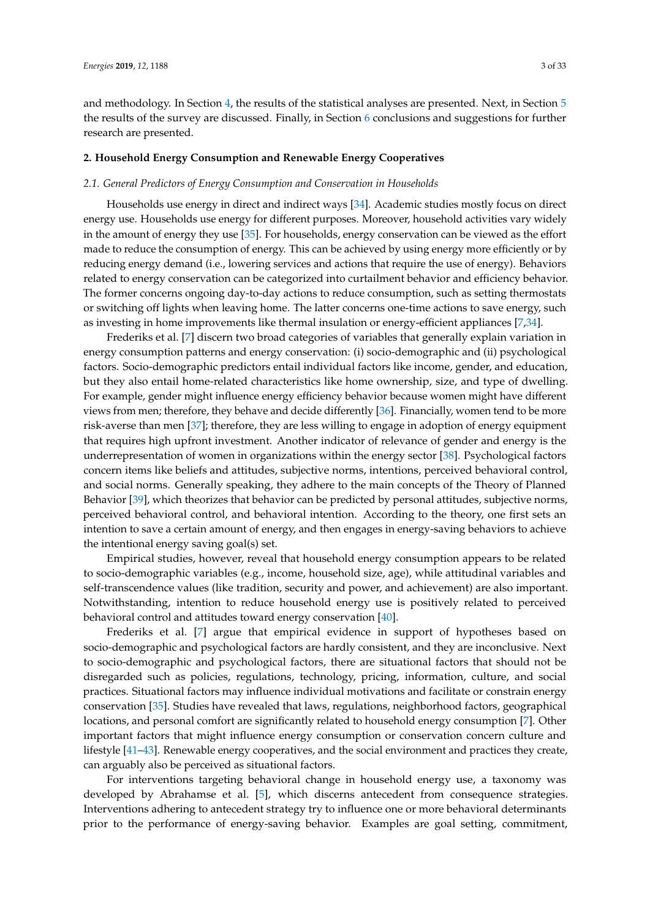and methodology. In Section [4,](#page-13-0) the results of the statistical analyses are presented. Next, in Section [5](#page-19-0) the results of the survey are discussed. Finally, in Section [6](#page-21-0) conclusions and suggestions for further research are presented.

#### <span id="page-3-0"></span>**2. Household Energy Consumption and Renewable Energy Cooperatives**

#### *2.1. General Predictors of Energy Consumption and Conservation in Households*

Households use energy in direct and indirect ways [\[34\]](#page-32-4). Academic studies mostly focus on direct energy use. Households use energy for different purposes. Moreover, household activities vary widely in the amount of energy they use [\[35\]](#page-32-5). For households, energy conservation can be viewed as the effort made to reduce the consumption of energy. This can be achieved by using energy more efficiently or by reducing energy demand (i.e., lowering services and actions that require the use of energy). Behaviors related to energy conservation can be categorized into curtailment behavior and efficiency behavior. The former concerns ongoing day-to-day actions to reduce consumption, such as setting thermostats or switching off lights when leaving home. The latter concerns one-time actions to save energy, such as investing in home improvements like thermal insulation or energy-efficient appliances [\[7](#page-31-3)[,34\]](#page-32-4).

Frederiks et al. [\[7\]](#page-31-3) discern two broad categories of variables that generally explain variation in energy consumption patterns and energy conservation: (i) socio-demographic and (ii) psychological factors. Socio-demographic predictors entail individual factors like income, gender, and education, but they also entail home-related characteristics like home ownership, size, and type of dwelling. For example, gender might influence energy efficiency behavior because women might have different views from men; therefore, they behave and decide differently [\[36\]](#page-32-6). Financially, women tend to be more risk-averse than men [\[37\]](#page-32-7); therefore, they are less willing to engage in adoption of energy equipment that requires high upfront investment. Another indicator of relevance of gender and energy is the underrepresentation of women in organizations within the energy sector [\[38\]](#page-32-8). Psychological factors concern items like beliefs and attitudes, subjective norms, intentions, perceived behavioral control, and social norms. Generally speaking, they adhere to the main concepts of the Theory of Planned Behavior [\[39\]](#page-32-9), which theorizes that behavior can be predicted by personal attitudes, subjective norms, perceived behavioral control, and behavioral intention. According to the theory, one first sets an intention to save a certain amount of energy, and then engages in energy-saving behaviors to achieve the intentional energy saving goal(s) set.

Empirical studies, however, reveal that household energy consumption appears to be related to socio-demographic variables (e.g., income, household size, age), while attitudinal variables and self-transcendence values (like tradition, security and power, and achievement) are also important. Notwithstanding, intention to reduce household energy use is positively related to perceived behavioral control and attitudes toward energy conservation [\[40\]](#page-32-10).

Frederiks et al. [\[7\]](#page-31-3) argue that empirical evidence in support of hypotheses based on socio-demographic and psychological factors are hardly consistent, and they are inconclusive. Next to socio-demographic and psychological factors, there are situational factors that should not be disregarded such as policies, regulations, technology, pricing, information, culture, and social practices. Situational factors may influence individual motivations and facilitate or constrain energy conservation [\[35\]](#page-32-5). Studies have revealed that laws, regulations, neighborhood factors, geographical locations, and personal comfort are significantly related to household energy consumption [\[7\]](#page-31-3). Other important factors that might influence energy consumption or conservation concern culture and lifestyle [\[41](#page-32-11)[–43\]](#page-32-12). Renewable energy cooperatives, and the social environment and practices they create, can arguably also be perceived as situational factors.

For interventions targeting behavioral change in household energy use, a taxonomy was developed by Abrahamse et al. [\[5\]](#page-31-2), which discerns antecedent from consequence strategies. Interventions adhering to antecedent strategy try to influence one or more behavioral determinants prior to the performance of energy-saving behavior. Examples are goal setting, commitment,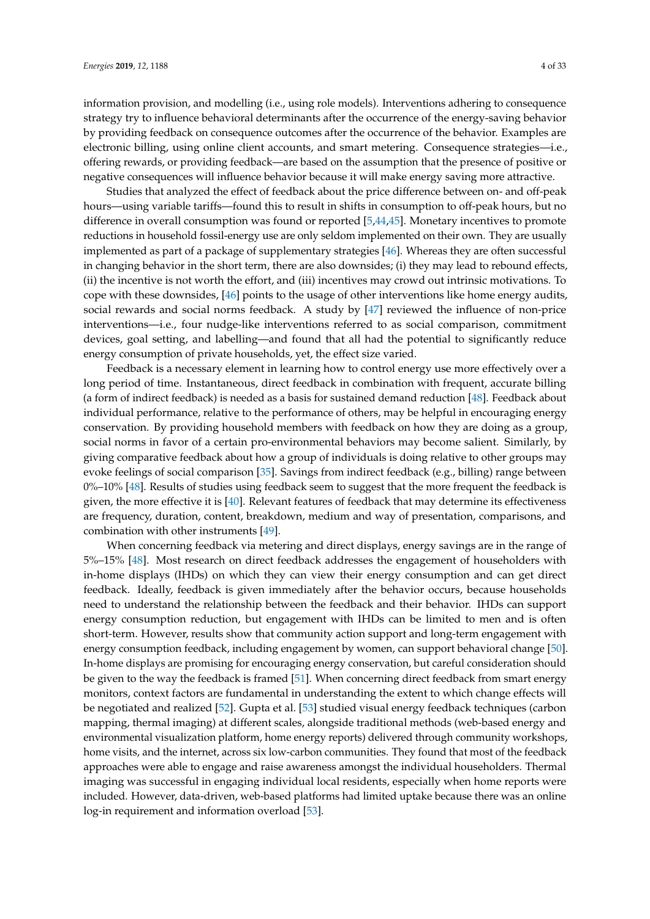information provision, and modelling (i.e., using role models). Interventions adhering to consequence strategy try to influence behavioral determinants after the occurrence of the energy-saving behavior by providing feedback on consequence outcomes after the occurrence of the behavior. Examples are electronic billing, using online client accounts, and smart metering. Consequence strategies—i.e., offering rewards, or providing feedback—are based on the assumption that the presence of positive or negative consequences will influence behavior because it will make energy saving more attractive.

Studies that analyzed the effect of feedback about the price difference between on- and off-peak hours—using variable tariffs—found this to result in shifts in consumption to off-peak hours, but no difference in overall consumption was found or reported [\[5](#page-31-2)[,44](#page-32-13)[,45\]](#page-32-14). Monetary incentives to promote reductions in household fossil-energy use are only seldom implemented on their own. They are usually implemented as part of a package of supplementary strategies [\[46\]](#page-32-15). Whereas they are often successful in changing behavior in the short term, there are also downsides; (i) they may lead to rebound effects, (ii) the incentive is not worth the effort, and (iii) incentives may crowd out intrinsic motivations. To cope with these downsides, [\[46\]](#page-32-15) points to the usage of other interventions like home energy audits, social rewards and social norms feedback. A study by [\[47\]](#page-32-16) reviewed the influence of non-price interventions—i.e., four nudge-like interventions referred to as social comparison, commitment devices, goal setting, and labelling—and found that all had the potential to significantly reduce energy consumption of private households, yet, the effect size varied.

Feedback is a necessary element in learning how to control energy use more effectively over a long period of time. Instantaneous, direct feedback in combination with frequent, accurate billing (a form of indirect feedback) is needed as a basis for sustained demand reduction [\[48\]](#page-32-17). Feedback about individual performance, relative to the performance of others, may be helpful in encouraging energy conservation. By providing household members with feedback on how they are doing as a group, social norms in favor of a certain pro-environmental behaviors may become salient. Similarly, by giving comparative feedback about how a group of individuals is doing relative to other groups may evoke feelings of social comparison [\[35\]](#page-32-5). Savings from indirect feedback (e.g., billing) range between  $0\%$ – $10\%$  [\[48\]](#page-32-17). Results of studies using feedback seem to suggest that the more frequent the feedback is given, the more effective it is  $[40]$ . Relevant features of feedback that may determine its effectiveness are frequency, duration, content, breakdown, medium and way of presentation, comparisons, and combination with other instruments [\[49\]](#page-32-18).

When concerning feedback via metering and direct displays, energy savings are in the range of 5%–15% [\[48\]](#page-32-17). Most research on direct feedback addresses the engagement of householders with in-home displays (IHDs) on which they can view their energy consumption and can get direct feedback. Ideally, feedback is given immediately after the behavior occurs, because households need to understand the relationship between the feedback and their behavior. IHDs can support energy consumption reduction, but engagement with IHDs can be limited to men and is often short-term. However, results show that community action support and long-term engagement with energy consumption feedback, including engagement by women, can support behavioral change [\[50\]](#page-32-19). In-home displays are promising for encouraging energy conservation, but careful consideration should be given to the way the feedback is framed [\[51\]](#page-32-20). When concerning direct feedback from smart energy monitors, context factors are fundamental in understanding the extent to which change effects will be negotiated and realized [\[52\]](#page-32-21). Gupta et al. [\[53\]](#page-33-0) studied visual energy feedback techniques (carbon mapping, thermal imaging) at different scales, alongside traditional methods (web-based energy and environmental visualization platform, home energy reports) delivered through community workshops, home visits, and the internet, across six low-carbon communities. They found that most of the feedback approaches were able to engage and raise awareness amongst the individual householders. Thermal imaging was successful in engaging individual local residents, especially when home reports were included. However, data-driven, web-based platforms had limited uptake because there was an online log-in requirement and information overload [\[53\]](#page-33-0).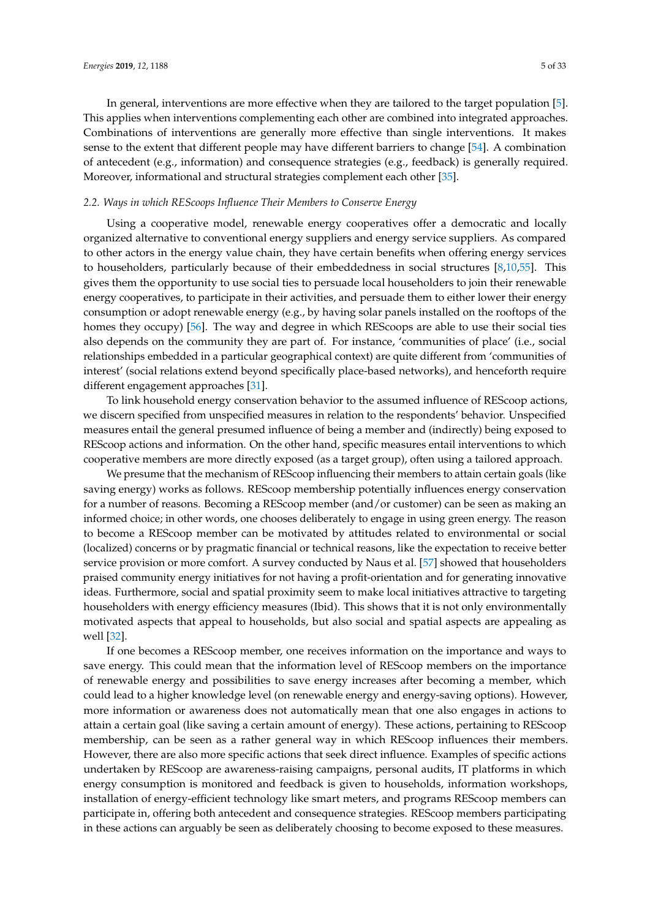In general, interventions are more effective when they are tailored to the target population [\[5\]](#page-31-2). This applies when interventions complementing each other are combined into integrated approaches. Combinations of interventions are generally more effective than single interventions. It makes sense to the extent that different people may have different barriers to change [\[54\]](#page-33-1). A combination of antecedent (e.g., information) and consequence strategies (e.g., feedback) is generally required. Moreover, informational and structural strategies complement each other [\[35\]](#page-32-5).

#### *2.2. Ways in which REScoops Influence Their Members to Conserve Energy*

Using a cooperative model, renewable energy cooperatives offer a democratic and locally organized alternative to conventional energy suppliers and energy service suppliers. As compared to other actors in the energy value chain, they have certain benefits when offering energy services to householders, particularly because of their embeddedness in social structures [\[8](#page-31-4)[,10](#page-31-18)[,55\]](#page-33-2). This gives them the opportunity to use social ties to persuade local householders to join their renewable energy cooperatives, to participate in their activities, and persuade them to either lower their energy consumption or adopt renewable energy (e.g., by having solar panels installed on the rooftops of the homes they occupy) [\[56\]](#page-33-3). The way and degree in which REScoops are able to use their social ties also depends on the community they are part of. For instance, 'communities of place' (i.e., social relationships embedded in a particular geographical context) are quite different from 'communities of interest' (social relations extend beyond specifically place-based networks), and henceforth require different engagement approaches [\[31\]](#page-32-22).

To link household energy conservation behavior to the assumed influence of REScoop actions, we discern specified from unspecified measures in relation to the respondents' behavior. Unspecified measures entail the general presumed influence of being a member and (indirectly) being exposed to REScoop actions and information. On the other hand, specific measures entail interventions to which cooperative members are more directly exposed (as a target group), often using a tailored approach.

We presume that the mechanism of REScoop influencing their members to attain certain goals (like saving energy) works as follows. REScoop membership potentially influences energy conservation for a number of reasons. Becoming a REScoop member (and/or customer) can be seen as making an informed choice; in other words, one chooses deliberately to engage in using green energy. The reason to become a REScoop member can be motivated by attitudes related to environmental or social (localized) concerns or by pragmatic financial or technical reasons, like the expectation to receive better service provision or more comfort. A survey conducted by Naus et al. [\[57\]](#page-33-4) showed that householders praised community energy initiatives for not having a profit-orientation and for generating innovative ideas. Furthermore, social and spatial proximity seem to make local initiatives attractive to targeting householders with energy efficiency measures (Ibid). This shows that it is not only environmentally motivated aspects that appeal to households, but also social and spatial aspects are appealing as well [\[32\]](#page-32-23).

If one becomes a REScoop member, one receives information on the importance and ways to save energy. This could mean that the information level of REScoop members on the importance of renewable energy and possibilities to save energy increases after becoming a member, which could lead to a higher knowledge level (on renewable energy and energy-saving options). However, more information or awareness does not automatically mean that one also engages in actions to attain a certain goal (like saving a certain amount of energy). These actions, pertaining to REScoop membership, can be seen as a rather general way in which REScoop influences their members. However, there are also more specific actions that seek direct influence. Examples of specific actions undertaken by REScoop are awareness-raising campaigns, personal audits, IT platforms in which energy consumption is monitored and feedback is given to households, information workshops, installation of energy-efficient technology like smart meters, and programs REScoop members can participate in, offering both antecedent and consequence strategies. REScoop members participating in these actions can arguably be seen as deliberately choosing to become exposed to these measures.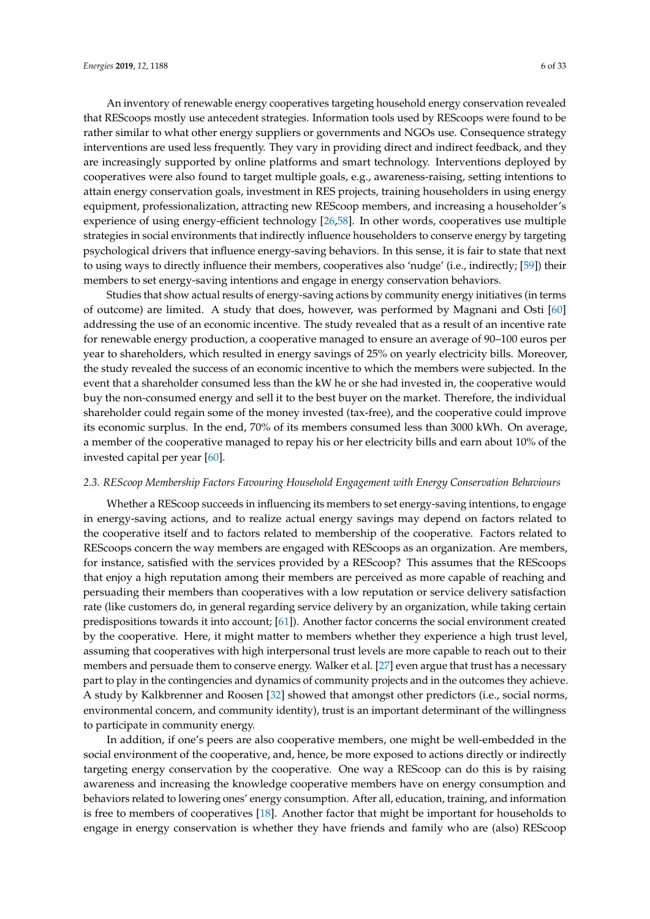An inventory of renewable energy cooperatives targeting household energy conservation revealed that REScoops mostly use antecedent strategies. Information tools used by REScoops were found to be rather similar to what other energy suppliers or governments and NGOs use. Consequence strategy interventions are used less frequently. They vary in providing direct and indirect feedback, and they are increasingly supported by online platforms and smart technology. Interventions deployed by cooperatives were also found to target multiple goals, e.g., awareness-raising, setting intentions to attain energy conservation goals, investment in RES projects, training householders in using energy equipment, professionalization, attracting new REScoop members, and increasing a householder's experience of using energy-efficient technology [\[26,](#page-31-16)[58\]](#page-33-5). In other words, cooperatives use multiple strategies in social environments that indirectly influence householders to conserve energy by targeting psychological drivers that influence energy-saving behaviors. In this sense, it is fair to state that next to using ways to directly influence their members, cooperatives also 'nudge' (i.e., indirectly; [\[59\]](#page-33-6)) their members to set energy-saving intentions and engage in energy conservation behaviors.

Studies that show actual results of energy-saving actions by community energy initiatives (in terms of outcome) are limited. A study that does, however, was performed by Magnani and Osti [\[60\]](#page-33-7) addressing the use of an economic incentive. The study revealed that as a result of an incentive rate for renewable energy production, a cooperative managed to ensure an average of 90–100 euros per year to shareholders, which resulted in energy savings of 25% on yearly electricity bills. Moreover, the study revealed the success of an economic incentive to which the members were subjected. In the event that a shareholder consumed less than the kW he or she had invested in, the cooperative would buy the non-consumed energy and sell it to the best buyer on the market. Therefore, the individual shareholder could regain some of the money invested (tax-free), and the cooperative could improve its economic surplus. In the end, 70% of its members consumed less than 3000 kWh. On average, a member of the cooperative managed to repay his or her electricity bills and earn about 10% of the invested capital per year [\[60\]](#page-33-7).

#### <span id="page-6-0"></span>*2.3. REScoop Membership Factors Favouring Household Engagement with Energy Conservation Behaviours*

Whether a REScoop succeeds in influencing its members to set energy-saving intentions, to engage in energy-saving actions, and to realize actual energy savings may depend on factors related to the cooperative itself and to factors related to membership of the cooperative. Factors related to REScoops concern the way members are engaged with REScoops as an organization. Are members, for instance, satisfied with the services provided by a REScoop? This assumes that the REScoops that enjoy a high reputation among their members are perceived as more capable of reaching and persuading their members than cooperatives with a low reputation or service delivery satisfaction rate (like customers do, in general regarding service delivery by an organization, while taking certain predispositions towards it into account; [\[61\]](#page-33-8)). Another factor concerns the social environment created by the cooperative. Here, it might matter to members whether they experience a high trust level, assuming that cooperatives with high interpersonal trust levels are more capable to reach out to their members and persuade them to conserve energy. Walker et al. [\[27\]](#page-32-0) even argue that trust has a necessary part to play in the contingencies and dynamics of community projects and in the outcomes they achieve. A study by Kalkbrenner and Roosen [\[32\]](#page-32-23) showed that amongst other predictors (i.e., social norms, environmental concern, and community identity), trust is an important determinant of the willingness to participate in community energy.

In addition, if one's peers are also cooperative members, one might be well-embedded in the social environment of the cooperative, and, hence, be more exposed to actions directly or indirectly targeting energy conservation by the cooperative. One way a REScoop can do this is by raising awareness and increasing the knowledge cooperative members have on energy consumption and behaviors related to lowering ones' energy consumption. After all, education, training, and information is free to members of cooperatives [\[18\]](#page-31-17). Another factor that might be important for households to engage in energy conservation is whether they have friends and family who are (also) REScoop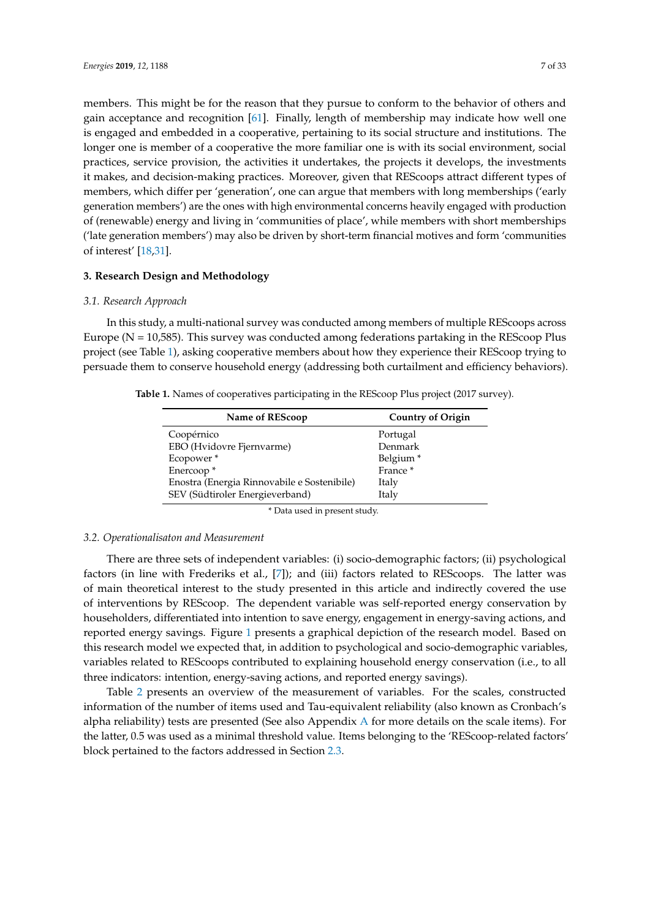members. This might be for the reason that they pursue to conform to the behavior of others and gain acceptance and recognition [\[61\]](#page-33-8). Finally, length of membership may indicate how well one is engaged and embedded in a cooperative, pertaining to its social structure and institutions. The longer one is member of a cooperative the more familiar one is with its social environment, social practices, service provision, the activities it undertakes, the projects it develops, the investments it makes, and decision-making practices. Moreover, given that REScoops attract different types of members, which differ per 'generation', one can argue that members with long memberships ('early generation members') are the ones with high environmental concerns heavily engaged with production of (renewable) energy and living in 'communities of place', while members with short memberships ('late generation members') may also be driven by short-term financial motives and form 'communities of interest' [\[18,](#page-31-17)[31\]](#page-32-22).

## <span id="page-7-0"></span>**3. Research Design and Methodology**

#### *3.1. Research Approach*

In this study, a multi-national survey was conducted among members of multiple REScoops across Europe ( $N = 10,585$ ). This survey was conducted among federations partaking in the REScoop Plus project (see Table [1\)](#page-7-1), asking cooperative members about how they experience their REScoop trying to persuade them to conserve household energy (addressing both curtailment and efficiency behaviors).

<span id="page-7-1"></span>

| Table 1. Names of cooperatives participating in the REScoop Plus project (2017 survey). |  |  |  |  |
|-----------------------------------------------------------------------------------------|--|--|--|--|
|-----------------------------------------------------------------------------------------|--|--|--|--|

| Name of REScoop                             | <b>Country of Origin</b> |
|---------------------------------------------|--------------------------|
| Coopérnico                                  | Portugal                 |
| EBO (Hvidovre Fjernvarme)                   | Denmark                  |
| Ecopower*                                   | Belgium <sup>*</sup>     |
| Enercoop*                                   | France*                  |
| Enostra (Energia Rinnovabile e Sostenibile) | Italy                    |
| SEV (Südtiroler Energieverband)             | Italy                    |

\* Data used in present study.

#### <span id="page-7-2"></span>*3.2. Operationalisaton and Measurement*

There are three sets of independent variables: (i) socio-demographic factors; (ii) psychological factors (in line with Frederiks et al., [\[7\]](#page-31-3)); and (iii) factors related to REScoops. The latter was of main theoretical interest to the study presented in this article and indirectly covered the use of interventions by REScoop. The dependent variable was self-reported energy conservation by householders, differentiated into intention to save energy, engagement in energy-saving actions, and reported energy savings. Figure [1](#page-8-0) presents a graphical depiction of the research model. Based on this research model we expected that, in addition to psychological and socio-demographic variables, variables related to REScoops contributed to explaining household energy conservation (i.e., to all three indicators: intention, energy-saving actions, and reported energy savings).

Table [2](#page-8-1) presents an overview of the measurement of variables. For the scales, constructed information of the number of items used and Tau-equivalent reliability (also known as Cronbach's alpha reliability) tests are presented (See also Appendix [A](#page-22-0) for more details on the scale items). For the latter, 0.5 was used as a minimal threshold value. Items belonging to the 'REScoop-related factors' block pertained to the factors addressed in Section [2.3.](#page-6-0)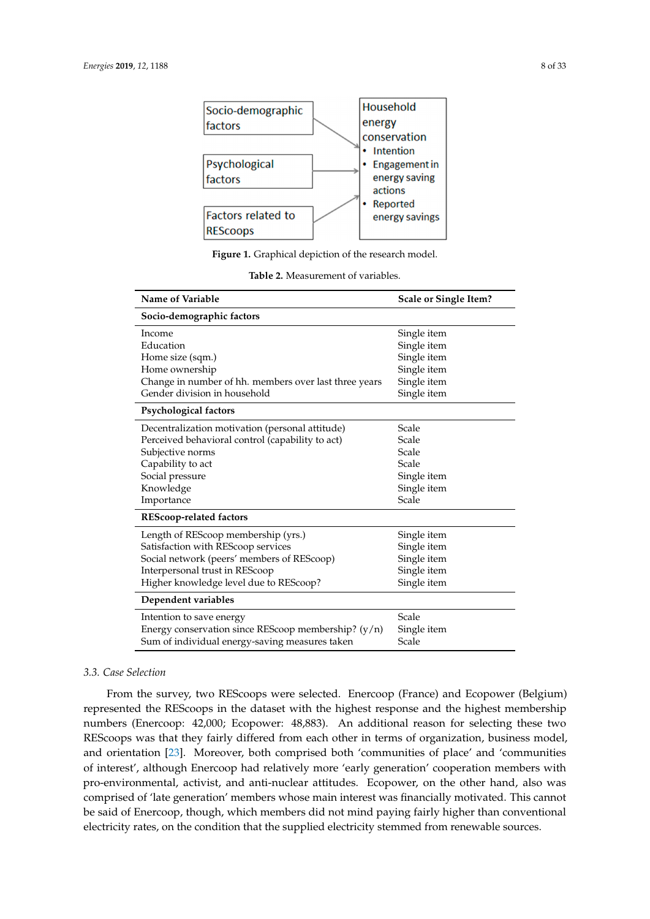<span id="page-8-0"></span>

**Figure 1.** Graphical depiction of the research model. **Figure 1.** Graphical depiction of the research model.

**Table 2.** Measurement of variables.

<span id="page-8-1"></span>

| <b>Name of Variable</b>                               | Scale or Single Item? |
|-------------------------------------------------------|-----------------------|
| Socio-demographic factors                             |                       |
| Income                                                | Single item           |
| Education                                             | Single item           |
| Home size (sqm.)                                      | Single item           |
| Home ownership                                        | Single item           |
| Change in number of hh. members over last three years | Single item           |
| Gender division in household                          | Single item           |
| <b>Psychological factors</b>                          |                       |
| Decentralization motivation (personal attitude)       | Scale                 |
| Perceived behavioral control (capability to act)      | Scale                 |
| Subjective norms                                      | Scale                 |
| Capability to act                                     | Scale                 |
| Social pressure                                       | Single item           |
| Knowledge                                             | Single item           |
| Importance                                            | Scale                 |
| REScoop-related factors                               |                       |
| Length of REScoop membership (yrs.)                   | Single item           |
| Satisfaction with REScoop services                    | Single item           |
| Social network (peers' members of REScoop)            | Single item           |
| Interpersonal trust in REScoop                        | Single item           |
| Higher knowledge level due to REScoop?                | Single item           |
| Dependent variables                                   |                       |
| Intention to save energy                              | Scale                 |
| Energy conservation since REScoop membership? $(y/n)$ | Single item           |
| Sum of individual energy-saving measures taken        | Scale                 |

#### $\mathcal{L}_{\text{rel}}$ *3.3. Case Selection*

*3.3. Case Selection*  represented the REScoops in the dataset with the highest response and the highest membership France Contracted. Energy (France) and Ecopower (France) and Economic Contracted. Exception (Belgium) REScoops was that they fairly differed from each other in terms of organization, business model, and orientation [\[23\]](#page-31-14). Moreover, both comprised both 'communities of place' and 'communities of interest', although Enercoop had relatively more 'early generation' cooperation members with pro-environmental, activist, and anti-nuclear attitudes. Ecopower, on the other hand, also was orientation [23]. Moreover, both comprised both 'communities of place' and 'communities of comprised of 'late generation' members whose main interest was financially motivated. This cannot interest of the generation more of these main more of the maintains pro-team of the called the said of Enercoop, though, which members did not mind paying fairly higher than conventional environmental, activist, activist, and anti-nuclear attitudes. Expression  $\mu$  and  $\mu$  and  $\mu$  and  $\mu$  and  $\mu$  and  $\mu$  and  $\mu$  and  $\mu$  and  $\mu$  and  $\mu$  and  $\mu$  and  $\mu$  and  $\mu$  and  $\mu$  and  $\mu$  and  $\mu$  and  $\mu$ electricity rates, on the condition that the supplied electricity stemmed from renewable sources.<br> From the survey, two REScoops were selected. Enercoop (France) and Ecopower (Belgium) numbers (Enercoop: 42,000; Ecopower: 48,883). An additional reason for selecting these two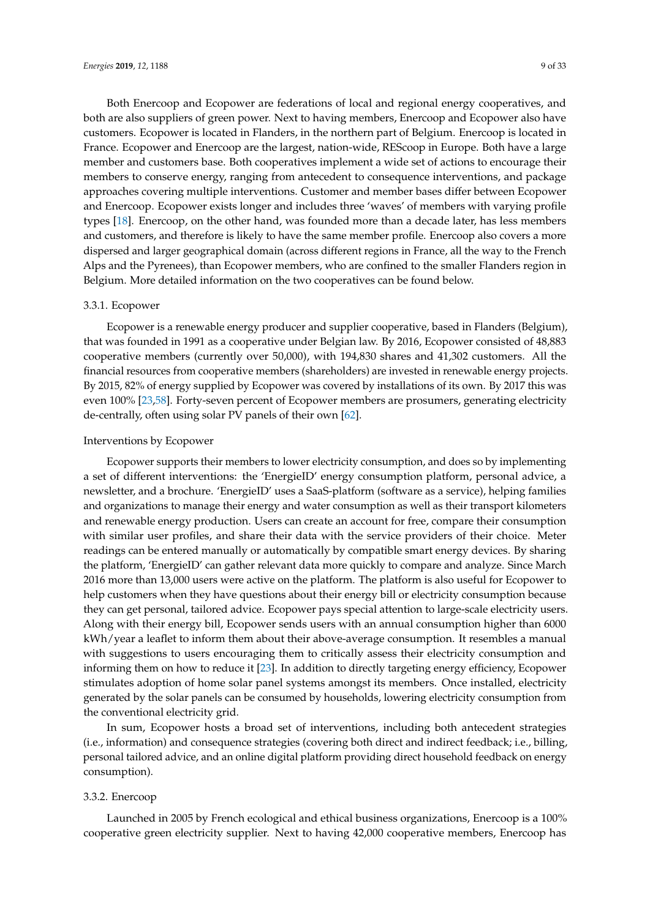Both Enercoop and Ecopower are federations of local and regional energy cooperatives, and both are also suppliers of green power. Next to having members, Enercoop and Ecopower also have customers. Ecopower is located in Flanders, in the northern part of Belgium. Enercoop is located in France. Ecopower and Enercoop are the largest, nation-wide, REScoop in Europe. Both have a large member and customers base. Both cooperatives implement a wide set of actions to encourage their members to conserve energy, ranging from antecedent to consequence interventions, and package approaches covering multiple interventions. Customer and member bases differ between Ecopower and Enercoop. Ecopower exists longer and includes three 'waves' of members with varying profile types [\[18\]](#page-31-17). Enercoop, on the other hand, was founded more than a decade later, has less members and customers, and therefore is likely to have the same member profile. Enercoop also covers a more dispersed and larger geographical domain (across different regions in France, all the way to the French Alps and the Pyrenees), than Ecopower members, who are confined to the smaller Flanders region in Belgium. More detailed information on the two cooperatives can be found below.

#### 3.3.1. Ecopower

Ecopower is a renewable energy producer and supplier cooperative, based in Flanders (Belgium), that was founded in 1991 as a cooperative under Belgian law. By 2016, Ecopower consisted of 48,883 cooperative members (currently over 50,000), with 194,830 shares and 41,302 customers. All the financial resources from cooperative members (shareholders) are invested in renewable energy projects. By 2015, 82% of energy supplied by Ecopower was covered by installations of its own. By 2017 this was even 100% [\[23](#page-31-14)[,58\]](#page-33-5). Forty-seven percent of Ecopower members are prosumers, generating electricity de-centrally, often using solar PV panels of their own [\[62\]](#page-33-9).

#### Interventions by Ecopower

Ecopower supports their members to lower electricity consumption, and does so by implementing a set of different interventions: the 'EnergieID' energy consumption platform, personal advice, a newsletter, and a brochure. 'EnergieID' uses a SaaS-platform (software as a service), helping families and organizations to manage their energy and water consumption as well as their transport kilometers and renewable energy production. Users can create an account for free, compare their consumption with similar user profiles, and share their data with the service providers of their choice. Meter readings can be entered manually or automatically by compatible smart energy devices. By sharing the platform, 'EnergieID' can gather relevant data more quickly to compare and analyze. Since March 2016 more than 13,000 users were active on the platform. The platform is also useful for Ecopower to help customers when they have questions about their energy bill or electricity consumption because they can get personal, tailored advice. Ecopower pays special attention to large-scale electricity users. Along with their energy bill, Ecopower sends users with an annual consumption higher than 6000 kWh/year a leaflet to inform them about their above-average consumption. It resembles a manual with suggestions to users encouraging them to critically assess their electricity consumption and informing them on how to reduce it [\[23\]](#page-31-14). In addition to directly targeting energy efficiency, Ecopower stimulates adoption of home solar panel systems amongst its members. Once installed, electricity generated by the solar panels can be consumed by households, lowering electricity consumption from the conventional electricity grid.

In sum, Ecopower hosts a broad set of interventions, including both antecedent strategies (i.e., information) and consequence strategies (covering both direct and indirect feedback; i.e., billing, personal tailored advice, and an online digital platform providing direct household feedback on energy consumption).

#### 3.3.2. Enercoop

Launched in 2005 by French ecological and ethical business organizations, Enercoop is a 100% cooperative green electricity supplier. Next to having 42,000 cooperative members, Enercoop has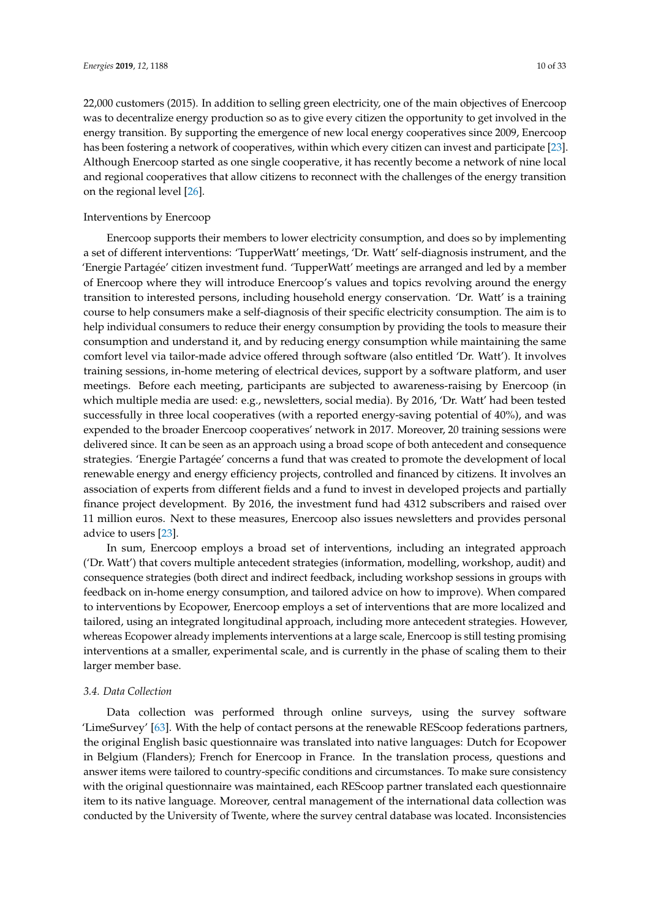22,000 customers (2015). In addition to selling green electricity, one of the main objectives of Enercoop was to decentralize energy production so as to give every citizen the opportunity to get involved in the energy transition. By supporting the emergence of new local energy cooperatives since 2009, Enercoop has been fostering a network of cooperatives, within which every citizen can invest and participate [\[23\]](#page-31-14). Although Enercoop started as one single cooperative, it has recently become a network of nine local and regional cooperatives that allow citizens to reconnect with the challenges of the energy transition on the regional level [\[26\]](#page-31-16).

#### Interventions by Enercoop

Enercoop supports their members to lower electricity consumption, and does so by implementing a set of different interventions: 'TupperWatt' meetings, 'Dr. Watt' self-diagnosis instrument, and the 'Energie Partagée' citizen investment fund. 'TupperWatt' meetings are arranged and led by a member of Enercoop where they will introduce Enercoop's values and topics revolving around the energy transition to interested persons, including household energy conservation. 'Dr. Watt' is a training course to help consumers make a self-diagnosis of their specific electricity consumption. The aim is to help individual consumers to reduce their energy consumption by providing the tools to measure their consumption and understand it, and by reducing energy consumption while maintaining the same comfort level via tailor-made advice offered through software (also entitled 'Dr. Watt'). It involves training sessions, in-home metering of electrical devices, support by a software platform, and user meetings. Before each meeting, participants are subjected to awareness-raising by Enercoop (in which multiple media are used: e.g., newsletters, social media). By 2016, 'Dr. Watt' had been tested successfully in three local cooperatives (with a reported energy-saving potential of 40%), and was expended to the broader Enercoop cooperatives' network in 2017. Moreover, 20 training sessions were delivered since. It can be seen as an approach using a broad scope of both antecedent and consequence strategies. 'Energie Partagée' concerns a fund that was created to promote the development of local renewable energy and energy efficiency projects, controlled and financed by citizens. It involves an association of experts from different fields and a fund to invest in developed projects and partially finance project development. By 2016, the investment fund had 4312 subscribers and raised over 11 million euros. Next to these measures, Enercoop also issues newsletters and provides personal advice to users [\[23\]](#page-31-14).

In sum, Enercoop employs a broad set of interventions, including an integrated approach ('Dr. Watt') that covers multiple antecedent strategies (information, modelling, workshop, audit) and consequence strategies (both direct and indirect feedback, including workshop sessions in groups with feedback on in-home energy consumption, and tailored advice on how to improve). When compared to interventions by Ecopower, Enercoop employs a set of interventions that are more localized and tailored, using an integrated longitudinal approach, including more antecedent strategies. However, whereas Ecopower already implements interventions at a large scale, Enercoop is still testing promising interventions at a smaller, experimental scale, and is currently in the phase of scaling them to their larger member base.

#### *3.4. Data Collection*

Data collection was performed through online surveys, using the survey software 'LimeSurvey' [\[63\]](#page-33-10). With the help of contact persons at the renewable REScoop federations partners, the original English basic questionnaire was translated into native languages: Dutch for Ecopower in Belgium (Flanders); French for Enercoop in France. In the translation process, questions and answer items were tailored to country-specific conditions and circumstances. To make sure consistency with the original questionnaire was maintained, each REScoop partner translated each questionnaire item to its native language. Moreover, central management of the international data collection was conducted by the University of Twente, where the survey central database was located. Inconsistencies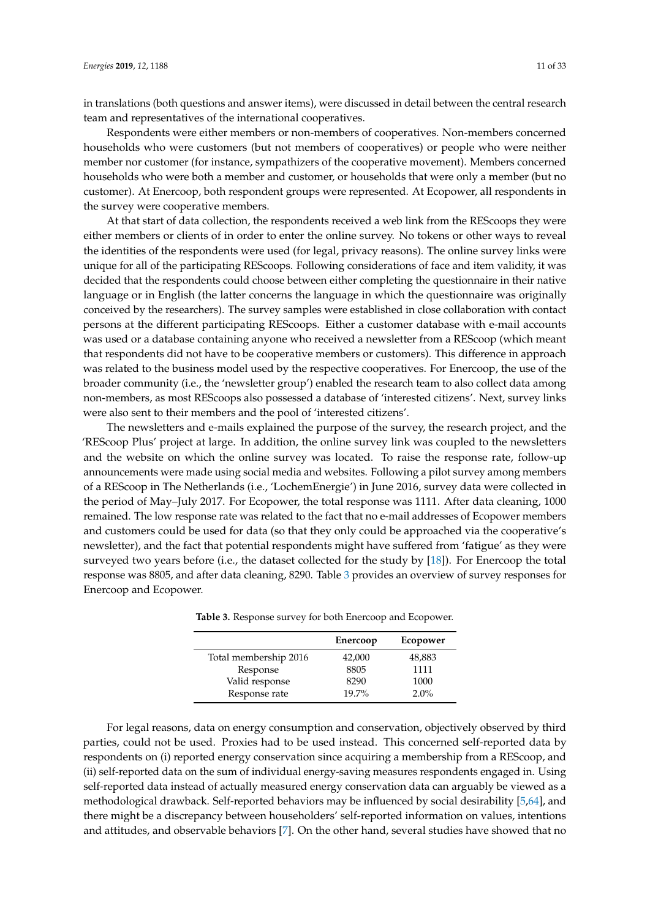in translations (both questions and answer items), were discussed in detail between the central research team and representatives of the international cooperatives.

Respondents were either members or non-members of cooperatives. Non-members concerned households who were customers (but not members of cooperatives) or people who were neither member nor customer (for instance, sympathizers of the cooperative movement). Members concerned households who were both a member and customer, or households that were only a member (but no customer). At Enercoop, both respondent groups were represented. At Ecopower, all respondents in the survey were cooperative members.

At that start of data collection, the respondents received a web link from the REScoops they were either members or clients of in order to enter the online survey. No tokens or other ways to reveal the identities of the respondents were used (for legal, privacy reasons). The online survey links were unique for all of the participating REScoops. Following considerations of face and item validity, it was decided that the respondents could choose between either completing the questionnaire in their native language or in English (the latter concerns the language in which the questionnaire was originally conceived by the researchers). The survey samples were established in close collaboration with contact persons at the different participating REScoops. Either a customer database with e-mail accounts was used or a database containing anyone who received a newsletter from a REScoop (which meant that respondents did not have to be cooperative members or customers). This difference in approach was related to the business model used by the respective cooperatives. For Enercoop, the use of the broader community (i.e., the 'newsletter group') enabled the research team to also collect data among non-members, as most REScoops also possessed a database of 'interested citizens'. Next, survey links were also sent to their members and the pool of 'interested citizens'.

The newsletters and e-mails explained the purpose of the survey, the research project, and the 'REScoop Plus' project at large. In addition, the online survey link was coupled to the newsletters and the website on which the online survey was located. To raise the response rate, follow-up announcements were made using social media and websites. Following a pilot survey among members of a REScoop in The Netherlands (i.e., 'LochemEnergie') in June 2016, survey data were collected in the period of May–July 2017. For Ecopower, the total response was 1111. After data cleaning, 1000 remained. The low response rate was related to the fact that no e-mail addresses of Ecopower members and customers could be used for data (so that they only could be approached via the cooperative's newsletter), and the fact that potential respondents might have suffered from 'fatigue' as they were surveyed two years before (i.e., the dataset collected for the study by [\[18\]](#page-31-17)). For Enercoop the total response was 8805, and after data cleaning, 8290. Table [3](#page-11-0) provides an overview of survey responses for Enercoop and Ecopower.

<span id="page-11-0"></span>

|  |  |  |  |  |  | <b>Table 3.</b> Response survey for both Enercoop and Ecopower. |  |  |  |
|--|--|--|--|--|--|-----------------------------------------------------------------|--|--|--|
|--|--|--|--|--|--|-----------------------------------------------------------------|--|--|--|

|                       | Enercoop | Ecopower |
|-----------------------|----------|----------|
| Total membership 2016 | 42,000   | 48,883   |
| Response              | 8805     | 1111     |
| Valid response        | 8290     | 1000     |
| Response rate         | 19.7%    | $2.0\%$  |

For legal reasons, data on energy consumption and conservation, objectively observed by third parties, could not be used. Proxies had to be used instead. This concerned self-reported data by respondents on (i) reported energy conservation since acquiring a membership from a REScoop, and (ii) self-reported data on the sum of individual energy-saving measures respondents engaged in. Using self-reported data instead of actually measured energy conservation data can arguably be viewed as a methodological drawback. Self-reported behaviors may be influenced by social desirability [\[5,](#page-31-2)[64\]](#page-33-11), and there might be a discrepancy between householders' self-reported information on values, intentions and attitudes, and observable behaviors [\[7\]](#page-31-3). On the other hand, several studies have showed that no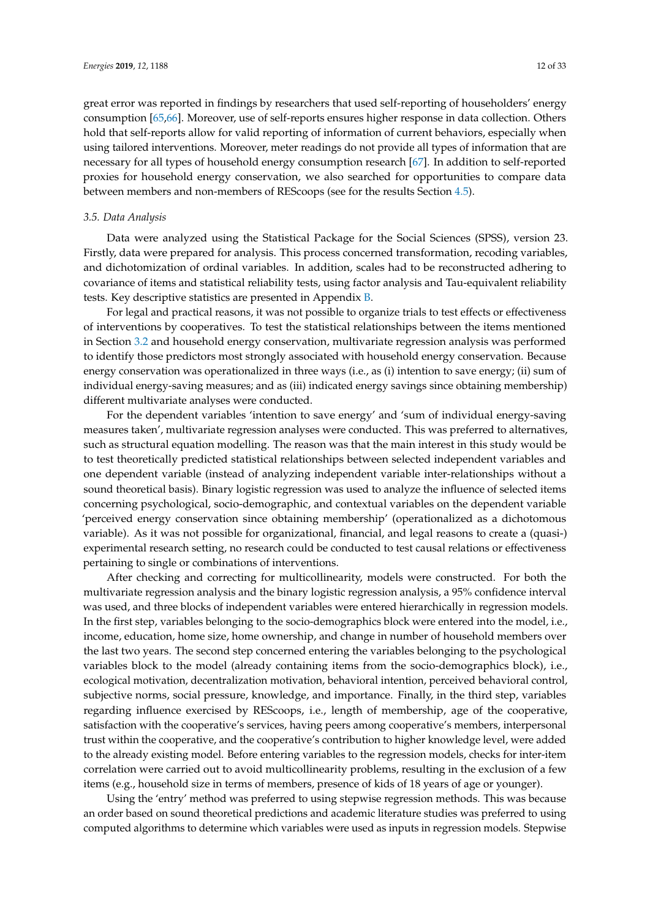great error was reported in findings by researchers that used self-reporting of householders' energy consumption [\[65,](#page-33-12)[66\]](#page-33-13). Moreover, use of self-reports ensures higher response in data collection. Others hold that self-reports allow for valid reporting of information of current behaviors, especially when using tailored interventions. Moreover, meter readings do not provide all types of information that are necessary for all types of household energy consumption research [\[67\]](#page-33-14). In addition to self-reported proxies for household energy conservation, we also searched for opportunities to compare data between members and non-members of REScoops (see for the results Section [4.5\)](#page-19-1).

#### *3.5. Data Analysis*

Data were analyzed using the Statistical Package for the Social Sciences (SPSS), version 23. Firstly, data were prepared for analysis. This process concerned transformation, recoding variables, and dichotomization of ordinal variables. In addition, scales had to be reconstructed adhering to covariance of items and statistical reliability tests, using factor analysis and Tau-equivalent reliability tests. Key descriptive statistics are presented in Appendix [B.](#page-23-0)

For legal and practical reasons, it was not possible to organize trials to test effects or effectiveness of interventions by cooperatives. To test the statistical relationships between the items mentioned in Section [3.2](#page-7-2) and household energy conservation, multivariate regression analysis was performed to identify those predictors most strongly associated with household energy conservation. Because energy conservation was operationalized in three ways (i.e., as (i) intention to save energy; (ii) sum of individual energy-saving measures; and as (iii) indicated energy savings since obtaining membership) different multivariate analyses were conducted.

For the dependent variables 'intention to save energy' and 'sum of individual energy-saving measures taken', multivariate regression analyses were conducted. This was preferred to alternatives, such as structural equation modelling. The reason was that the main interest in this study would be to test theoretically predicted statistical relationships between selected independent variables and one dependent variable (instead of analyzing independent variable inter-relationships without a sound theoretical basis). Binary logistic regression was used to analyze the influence of selected items concerning psychological, socio-demographic, and contextual variables on the dependent variable 'perceived energy conservation since obtaining membership' (operationalized as a dichotomous variable). As it was not possible for organizational, financial, and legal reasons to create a (quasi-) experimental research setting, no research could be conducted to test causal relations or effectiveness pertaining to single or combinations of interventions.

After checking and correcting for multicollinearity, models were constructed. For both the multivariate regression analysis and the binary logistic regression analysis, a 95% confidence interval was used, and three blocks of independent variables were entered hierarchically in regression models. In the first step, variables belonging to the socio-demographics block were entered into the model, i.e., income, education, home size, home ownership, and change in number of household members over the last two years. The second step concerned entering the variables belonging to the psychological variables block to the model (already containing items from the socio-demographics block), i.e., ecological motivation, decentralization motivation, behavioral intention, perceived behavioral control, subjective norms, social pressure, knowledge, and importance. Finally, in the third step, variables regarding influence exercised by REScoops, i.e., length of membership, age of the cooperative, satisfaction with the cooperative's services, having peers among cooperative's members, interpersonal trust within the cooperative, and the cooperative's contribution to higher knowledge level, were added to the already existing model. Before entering variables to the regression models, checks for inter-item correlation were carried out to avoid multicollinearity problems, resulting in the exclusion of a few items (e.g., household size in terms of members, presence of kids of 18 years of age or younger).

Using the 'entry' method was preferred to using stepwise regression methods. This was because an order based on sound theoretical predictions and academic literature studies was preferred to using computed algorithms to determine which variables were used as inputs in regression models. Stepwise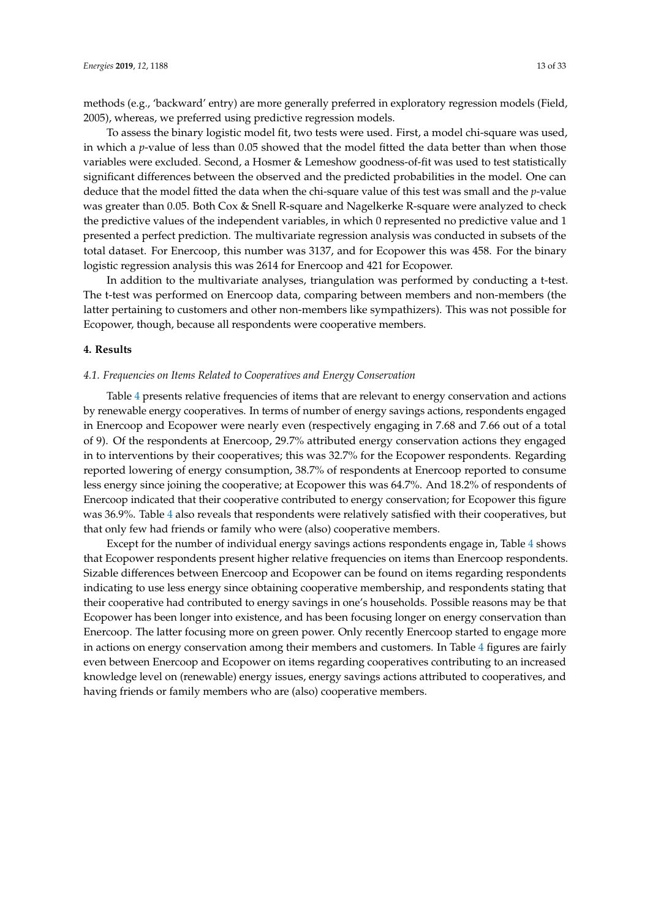methods (e.g., 'backward' entry) are more generally preferred in exploratory regression models (Field, 2005), whereas, we preferred using predictive regression models.

To assess the binary logistic model fit, two tests were used. First, a model chi-square was used, in which a *p*-value of less than 0.05 showed that the model fitted the data better than when those variables were excluded. Second, a Hosmer & Lemeshow goodness-of-fit was used to test statistically significant differences between the observed and the predicted probabilities in the model. One can deduce that the model fitted the data when the chi-square value of this test was small and the *p*-value was greater than 0.05. Both Cox & Snell R-square and Nagelkerke R-square were analyzed to check the predictive values of the independent variables, in which 0 represented no predictive value and 1 presented a perfect prediction. The multivariate regression analysis was conducted in subsets of the total dataset. For Enercoop, this number was 3137, and for Ecopower this was 458. For the binary logistic regression analysis this was 2614 for Enercoop and 421 for Ecopower.

In addition to the multivariate analyses, triangulation was performed by conducting a t-test. The t-test was performed on Enercoop data, comparing between members and non-members (the latter pertaining to customers and other non-members like sympathizers). This was not possible for Ecopower, though, because all respondents were cooperative members.

#### <span id="page-13-0"></span>**4. Results**

#### *4.1. Frequencies on Items Related to Cooperatives and Energy Conservation*

Table [4](#page-14-0) presents relative frequencies of items that are relevant to energy conservation and actions by renewable energy cooperatives. In terms of number of energy savings actions, respondents engaged in Enercoop and Ecopower were nearly even (respectively engaging in 7.68 and 7.66 out of a total of 9). Of the respondents at Enercoop, 29.7% attributed energy conservation actions they engaged in to interventions by their cooperatives; this was 32.7% for the Ecopower respondents. Regarding reported lowering of energy consumption, 38.7% of respondents at Enercoop reported to consume less energy since joining the cooperative; at Ecopower this was 64.7%. And 18.2% of respondents of Enercoop indicated that their cooperative contributed to energy conservation; for Ecopower this figure was 36.9%. Table [4](#page-14-0) also reveals that respondents were relatively satisfied with their cooperatives, but that only few had friends or family who were (also) cooperative members.

Except for the number of individual energy savings actions respondents engage in, Table [4](#page-14-0) shows that Ecopower respondents present higher relative frequencies on items than Enercoop respondents. Sizable differences between Enercoop and Ecopower can be found on items regarding respondents indicating to use less energy since obtaining cooperative membership, and respondents stating that their cooperative had contributed to energy savings in one's households. Possible reasons may be that Ecopower has been longer into existence, and has been focusing longer on energy conservation than Enercoop. The latter focusing more on green power. Only recently Enercoop started to engage more in actions on energy conservation among their members and customers. In Table [4](#page-14-0) figures are fairly even between Enercoop and Ecopower on items regarding cooperatives contributing to an increased knowledge level on (renewable) energy issues, energy savings actions attributed to cooperatives, and having friends or family members who are (also) cooperative members.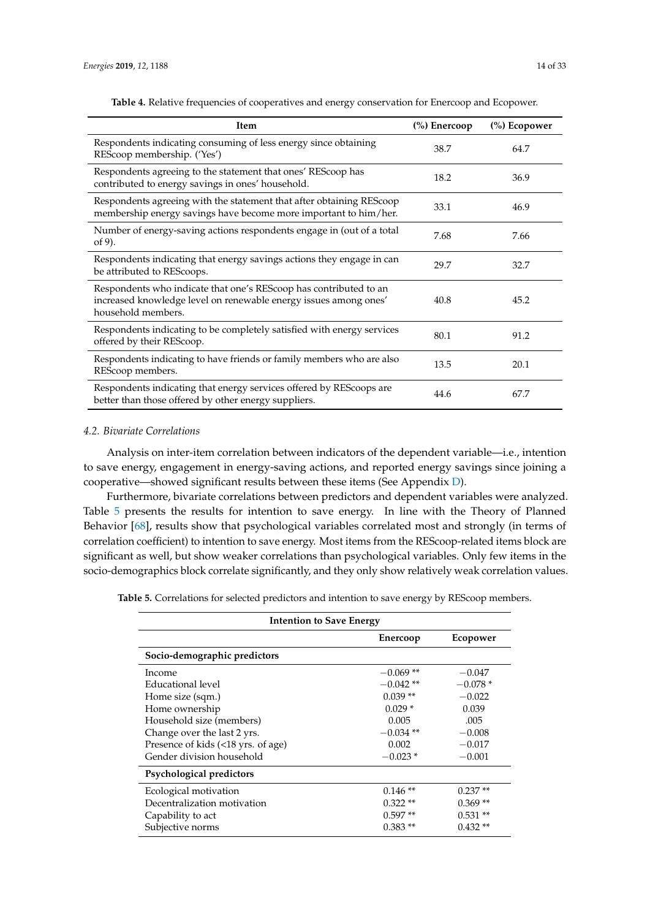<span id="page-14-0"></span>

| Item                                                                                                                                                        | (%) Enercoop | (%) Ecopower |
|-------------------------------------------------------------------------------------------------------------------------------------------------------------|--------------|--------------|
| Respondents indicating consuming of less energy since obtaining<br>REScoop membership. ('Yes')                                                              | 38.7         | 64.7         |
| Respondents agreeing to the statement that ones' REScoop has<br>contributed to energy savings in ones' household.                                           | 18.2         | 36.9         |
| Respondents agreeing with the statement that after obtaining REScoop<br>membership energy savings have become more important to him/her.                    | 33.1         | 46.9         |
| Number of energy-saving actions respondents engage in (out of a total<br>of 9).                                                                             | 7.68         | 7.66         |
| Respondents indicating that energy savings actions they engage in can<br>be attributed to REScoops.                                                         | 29.7         | 32.7         |
| Respondents who indicate that one's REScoop has contributed to an<br>increased knowledge level on renewable energy issues among ones'<br>household members. | 40.8         | 45.2         |
| Respondents indicating to be completely satisfied with energy services<br>offered by their REScoop.                                                         | 80.1         | 91.2         |
| Respondents indicating to have friends or family members who are also<br>REScoop members.                                                                   | 13.5         | 20.1         |
| Respondents indicating that energy services offered by REScoops are<br>better than those offered by other energy suppliers.                                 | 44.6         | 67.7         |

**Table 4.** Relative frequencies of cooperatives and energy conservation for Enercoop and Ecopower.

#### *4.2. Bivariate Correlations*

Analysis on inter-item correlation between indicators of the dependent variable—i.e., intention to save energy, engagement in energy-saving actions, and reported energy savings since joining a cooperative—showed significant results between these items (See Appendix [D\)](#page-30-2).

Furthermore, bivariate correlations between predictors and dependent variables were analyzed. Table [5](#page-15-0) presents the results for intention to save energy. In line with the Theory of Planned Behavior [\[68\]](#page-33-15), results show that psychological variables correlated most and strongly (in terms of correlation coefficient) to intention to save energy. Most items from the REScoop-related items block are significant as well, but show weaker correlations than psychological variables. Only few items in the socio-demographics block correlate significantly, and they only show relatively weak correlation values.

**Table 5.** Correlations for selected predictors and intention to save energy by REScoop members.

| <b>Intention to Save Energy</b>    |             |           |  |
|------------------------------------|-------------|-----------|--|
|                                    | Enercoop    | Ecopower  |  |
| Socio-demographic predictors       |             |           |  |
| Income                             | $-0.069**$  | $-0.047$  |  |
| Educational level                  | $-0.042**$  | $-0.078*$ |  |
| Home size (sqm.)                   | $0.039**$   | $-0.022$  |  |
| Home ownership                     | $0.029*$    | 0.039     |  |
| Household size (members)           | 0.005       | .005      |  |
| Change over the last 2 yrs.        | $-0.034$ ** | $-0.008$  |  |
| Presence of kids (<18 yrs. of age) | 0.002       | $-0.017$  |  |
| Gender division household          | $-0.023*$   | $-0.001$  |  |
| Psychological predictors           |             |           |  |
| Ecological motivation              | $0.146**$   | $0.237**$ |  |
| Decentralization motivation        | $0.322**$   | $0.369**$ |  |
| Capability to act                  | $0.597**$   | $0.531**$ |  |
| Subjective norms                   | $0.383**$   | $0.432**$ |  |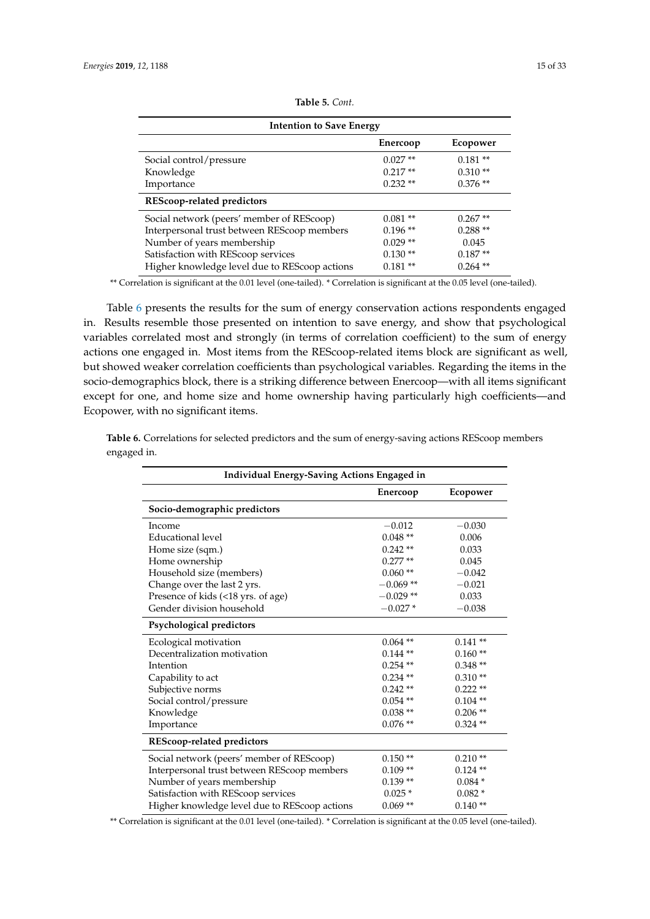<span id="page-15-0"></span>

| <b>Intention to Save Energy</b>               |           |            |  |
|-----------------------------------------------|-----------|------------|--|
|                                               | Enercoop  | Ecopower   |  |
| Social control/pressure                       | $0.027**$ | $0.181**$  |  |
| Knowledge                                     | $0.217**$ | $0.310**$  |  |
| Importance                                    | $0.232**$ | $0.376**$  |  |
| REScoop-related predictors                    |           |            |  |
| Social network (peers' member of REScoop)     | $0.081**$ | $0.267**$  |  |
| Interpersonal trust between REScoop members   | $0.196**$ | $0.288**$  |  |
| Number of years membership                    | $0.029**$ | 0.045      |  |
| Satisfaction with REScoop services            | $0.130**$ | $0.187**$  |  |
| Higher knowledge level due to REScoop actions | $0.181**$ | $0.264$ ** |  |

**Table 5.** *Cont.*

\*\* Correlation is significant at the 0.01 level (one-tailed). \* Correlation is significant at the 0.05 level (one-tailed).

Table [6](#page-15-1) presents the results for the sum of energy conservation actions respondents engaged in. Results resemble those presented on intention to save energy, and show that psychological variables correlated most and strongly (in terms of correlation coefficient) to the sum of energy actions one engaged in. Most items from the REScoop-related items block are significant as well, but showed weaker correlation coefficients than psychological variables. Regarding the items in the socio-demographics block, there is a striking difference between Enercoop—with all items significant except for one, and home size and home ownership having particularly high coefficients—and Ecopower, with no significant items.

<span id="page-15-1"></span>**Table 6.** Correlations for selected predictors and the sum of energy-saving actions REScoop members engaged in.

| <b>Individual Energy-Saving Actions Engaged in</b> |            |             |  |  |
|----------------------------------------------------|------------|-------------|--|--|
|                                                    | Enercoop   | Ecopower    |  |  |
| Socio-demographic predictors                       |            |             |  |  |
| Income                                             | $-0.012$   | $-0.030$    |  |  |
| <b>Educational level</b>                           | $0.048**$  | 0.006       |  |  |
| Home size (sqm.)                                   | $0.242**$  | 0.033       |  |  |
| Home ownership                                     | $0.277**$  | 0.045       |  |  |
| Household size (members)                           | $0.060**$  | $-0.042$    |  |  |
| Change over the last 2 yrs.                        | $-0.069**$ | $-0.021$    |  |  |
| Presence of kids (<18 yrs. of age)                 | $-0.029**$ | 0.033       |  |  |
| Gender division household                          | $-0.027*$  | $-0.038$    |  |  |
| Psychological predictors                           |            |             |  |  |
| Ecological motivation                              | $0.064$ ** | $0.141**$   |  |  |
| Decentralization motivation                        | $0.144$ ** | $0.160**$   |  |  |
| Intention                                          | $0.254$ ** | $0.348**$   |  |  |
| Capability to act                                  | $0.234$ ** | $0.310**$   |  |  |
| Subjective norms                                   | $0.242**$  | $0.222**$   |  |  |
| Social control/pressure                            | $0.054$ ** | $0.104$ **  |  |  |
| Knowledge                                          | $0.038**$  | $0.206**$   |  |  |
| Importance                                         | $0.076**$  | $0.324$ **  |  |  |
| <b>REScoop-related predictors</b>                  |            |             |  |  |
| Social network (peers' member of REScoop)          | $0.150**$  | $0.210**$   |  |  |
| Interpersonal trust between REScoop members        | $0.109**$  | $0.124$ **  |  |  |
| Number of years membership                         | $0.139**$  | $0.084\ ^*$ |  |  |
| Satisfaction with REScoop services                 | $0.025*$   | $0.082*$    |  |  |
| Higher knowledge level due to REScoop actions      | $0.069**$  | $0.140**$   |  |  |

\*\* Correlation is significant at the 0.01 level (one-tailed). \* Correlation is significant at the 0.05 level (one-tailed).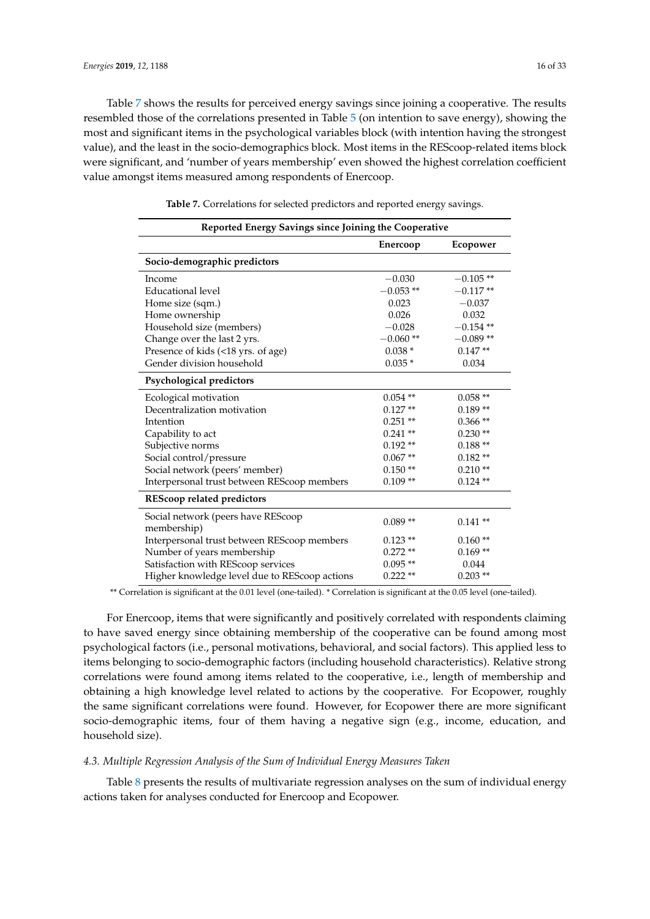Table [7](#page-16-0) shows the results for perceived energy savings since joining a cooperative. The results resembled those of the correlations presented in Table [5](#page-15-0) (on intention to save energy), showing the most and significant items in the psychological variables block (with intention having the strongest value), and the least in the socio-demographics block. Most items in the REScoop-related items block were significant, and 'number of years membership' even showed the highest correlation coefficient value amongst items measured among respondents of Enercoop.

<span id="page-16-0"></span>

| Reported Energy Savings since Joining the Cooperative |             |             |  |  |
|-------------------------------------------------------|-------------|-------------|--|--|
|                                                       | Enercoop    | Ecopower    |  |  |
| Socio-demographic predictors                          |             |             |  |  |
| Income                                                | $-0.030$    | $-0.105**$  |  |  |
| <b>Educational</b> level                              | $-0.053**$  | $-0.117**$  |  |  |
| Home size (sqm.)                                      | 0.023       | $-0.037$    |  |  |
| Home ownership                                        | 0.026       | 0.032       |  |  |
| Household size (members)                              | $-0.028$    | $-0.154$ ** |  |  |
| Change over the last 2 yrs.                           | $-0.060**$  | $-0.089**$  |  |  |
| Presence of kids (<18 yrs. of age)                    | $0.038\;^*$ | $0.147**$   |  |  |
| Gender division household                             | $0.035*$    | 0.034       |  |  |
| Psychological predictors                              |             |             |  |  |
| Ecological motivation                                 | $0.054**$   | $0.058**$   |  |  |
| Decentralization motivation                           | $0.127**$   | $0.189**$   |  |  |
| Intention                                             | $0.251**$   | $0.366**$   |  |  |
| Capability to act                                     | $0.241**$   | $0.230**$   |  |  |
| Subjective norms                                      | $0.192**$   | $0.188**$   |  |  |
| Social control/pressure                               | $0.067**$   | $0.182**$   |  |  |
| Social network (peers' member)                        | $0.150**$   | $0.210**$   |  |  |
| Interpersonal trust between REScoop members           | $0.109**$   | $0.124$ **  |  |  |
| <b>REScoop related predictors</b>                     |             |             |  |  |
| Social network (peers have REScoop<br>membership)     | $0.089**$   | $0.141**$   |  |  |
| Interpersonal trust between REScoop members           | $0.123$ **  | $0.160**$   |  |  |
| Number of years membership                            | $0.272**$   | $0.169**$   |  |  |
| Satisfaction with REScoop services                    | $0.095**$   | 0.044       |  |  |
| Higher knowledge level due to REScoop actions         | $0.222**$   | $0.203**$   |  |  |

**Table 7.** Correlations for selected predictors and reported energy savings.

\*\* Correlation is significant at the 0.01 level (one-tailed). \* Correlation is significant at the 0.05 level (one-tailed).

For Enercoop, items that were significantly and positively correlated with respondents claiming to have saved energy since obtaining membership of the cooperative can be found among most psychological factors (i.e., personal motivations, behavioral, and social factors). This applied less to items belonging to socio-demographic factors (including household characteristics). Relative strong correlations were found among items related to the cooperative, i.e., length of membership and obtaining a high knowledge level related to actions by the cooperative. For Ecopower, roughly the same significant correlations were found. However, for Ecopower there are more significant socio-demographic items, four of them having a negative sign (e.g., income, education, and household size).

#### *4.3. Multiple Regression Analysis of the Sum of Individual Energy Measures Taken*

Table [8](#page-17-0) presents the results of multivariate regression analyses on the sum of individual energy actions taken for analyses conducted for Enercoop and Ecopower.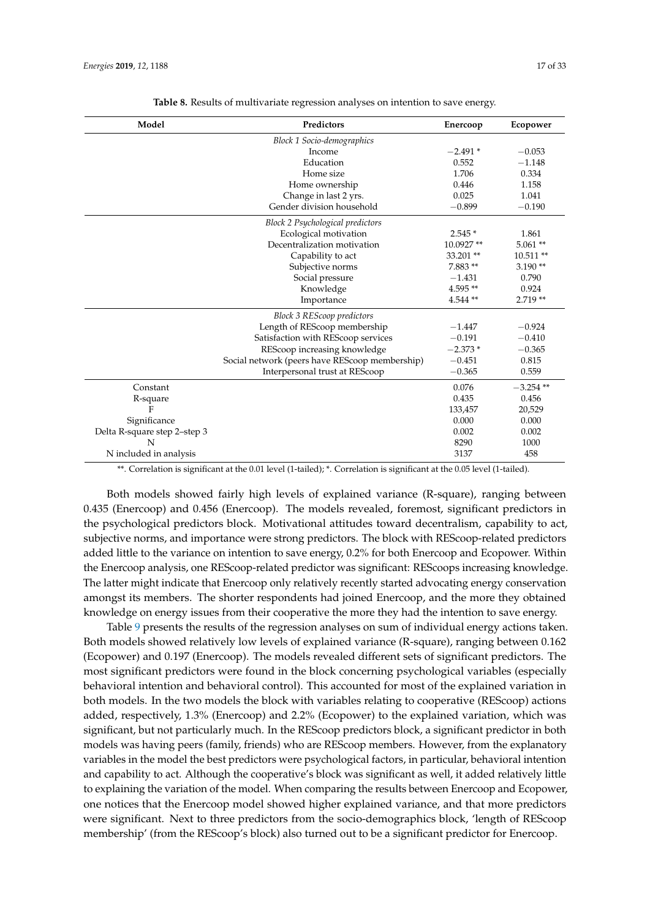<span id="page-17-0"></span>

| Model                        | Predictors                                     | Enercoop  | Ecopower    |
|------------------------------|------------------------------------------------|-----------|-------------|
|                              | <b>Block 1 Socio-demographics</b>              |           |             |
|                              | Income                                         | $-2.491*$ | $-0.053$    |
|                              | Education                                      | 0.552     | $-1.148$    |
|                              | Home size                                      | 1.706     | 0.334       |
|                              | Home ownership                                 | 0.446     | 1.158       |
|                              | Change in last 2 yrs.                          | 0.025     | 1.041       |
|                              | Gender division household                      | $-0.899$  | $-0.190$    |
|                              | Block 2 Psychological predictors               |           |             |
|                              | Ecological motivation                          | $2.545*$  | 1.861       |
|                              | Decentralization motivation                    | 10.0927** | $5.061**$   |
|                              | Capability to act                              | 33.201**  | $10.511**$  |
|                              | Subjective norms                               | 7.883 **  | $3.190**$   |
|                              | Social pressure                                | $-1.431$  | 0.790       |
|                              | Knowledge                                      | 4.595**   | 0.924       |
|                              | Importance                                     | 4.544**   | $2.719**$   |
|                              | <b>Block 3 REScoop predictors</b>              |           |             |
|                              | Length of REScoop membership                   | $-1.447$  | $-0.924$    |
|                              | Satisfaction with REScoop services             | $-0.191$  | $-0.410$    |
|                              | REScoop increasing knowledge                   | $-2.373*$ | $-0.365$    |
|                              | Social network (peers have REScoop membership) | $-0.451$  | 0.815       |
|                              | Interpersonal trust at REScoop                 | $-0.365$  | 0.559       |
| Constant                     |                                                | 0.076     | $-3.254$ ** |
| R-square                     |                                                | 0.435     | 0.456       |
| F                            |                                                | 133,457   | 20,529      |
| Significance                 |                                                | 0.000     | 0.000       |
| Delta R-square step 2-step 3 |                                                | 0.002     | 0.002       |
| N                            |                                                | 8290      | 1000        |
| N included in analysis       |                                                | 3137      | 458         |

\*\*. Correlation is significant at the 0.01 level (1-tailed); \*. Correlation is significant at the 0.05 level (1-tailed).

Both models showed fairly high levels of explained variance (R-square), ranging between 0.435 (Enercoop) and 0.456 (Enercoop). The models revealed, foremost, significant predictors in the psychological predictors block. Motivational attitudes toward decentralism, capability to act, subjective norms, and importance were strong predictors. The block with REScoop-related predictors added little to the variance on intention to save energy, 0.2% for both Enercoop and Ecopower. Within the Enercoop analysis, one REScoop-related predictor was significant: REScoops increasing knowledge. The latter might indicate that Enercoop only relatively recently started advocating energy conservation amongst its members. The shorter respondents had joined Enercoop, and the more they obtained knowledge on energy issues from their cooperative the more they had the intention to save energy.

Table [9](#page-18-0) presents the results of the regression analyses on sum of individual energy actions taken. Both models showed relatively low levels of explained variance (R-square), ranging between 0.162 (Ecopower) and 0.197 (Enercoop). The models revealed different sets of significant predictors. The most significant predictors were found in the block concerning psychological variables (especially behavioral intention and behavioral control). This accounted for most of the explained variation in both models. In the two models the block with variables relating to cooperative (REScoop) actions added, respectively, 1.3% (Enercoop) and 2.2% (Ecopower) to the explained variation, which was significant, but not particularly much. In the REScoop predictors block, a significant predictor in both models was having peers (family, friends) who are REScoop members. However, from the explanatory variables in the model the best predictors were psychological factors, in particular, behavioral intention and capability to act. Although the cooperative's block was significant as well, it added relatively little to explaining the variation of the model. When comparing the results between Enercoop and Ecopower, one notices that the Enercoop model showed higher explained variance, and that more predictors were significant. Next to three predictors from the socio-demographics block, 'length of REScoop membership' (from the REScoop's block) also turned out to be a significant predictor for Enercoop.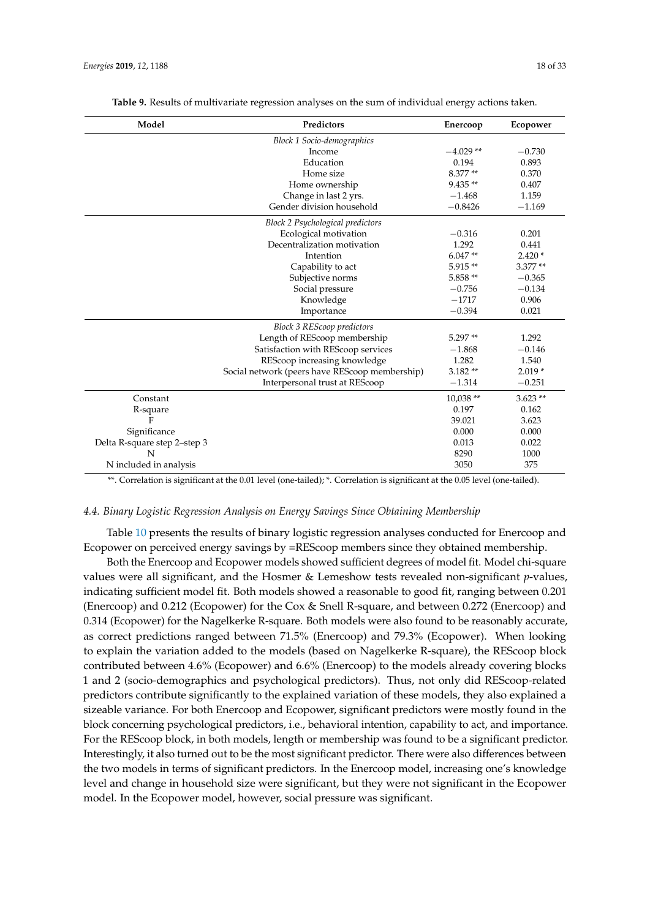<span id="page-18-0"></span>

| Model                        | Predictors                                     | Enercoop   | Ecopower  |
|------------------------------|------------------------------------------------|------------|-----------|
|                              | <b>Block 1 Socio-demographics</b>              |            |           |
|                              | Income                                         | $-4.029**$ | $-0.730$  |
|                              | Education                                      | 0.194      | 0.893     |
|                              | Home size                                      | 8.377 **   | 0.370     |
|                              | Home ownership                                 | $9.435**$  | 0.407     |
|                              | Change in last 2 yrs.                          | $-1.468$   | 1.159     |
|                              | Gender division household                      | $-0.8426$  | $-1.169$  |
|                              | <b>Block 2 Psychological predictors</b>        |            |           |
|                              | Ecological motivation                          | $-0.316$   | 0.201     |
|                              | Decentralization motivation                    | 1.292      | 0.441     |
|                              | Intention                                      | $6.047**$  | $2.420*$  |
|                              | Capability to act                              | $5.915**$  | $3.377**$ |
|                              | Subjective norms                               | 5.858 **   | $-0.365$  |
|                              | Social pressure                                | $-0.756$   | $-0.134$  |
|                              | Knowledge                                      | $-1717$    | 0.906     |
|                              | Importance                                     | $-0.394$   | 0.021     |
|                              | <b>Block 3 REScoop predictors</b>              |            |           |
|                              | Length of REScoop membership                   | $5.297**$  | 1.292     |
|                              | Satisfaction with REScoop services             | $-1.868$   | $-0.146$  |
|                              | REScoop increasing knowledge                   | 1.282      | 1.540     |
|                              | Social network (peers have REScoop membership) | $3.182**$  | $2.019*$  |
|                              | Interpersonal trust at REScoop                 | $-1.314$   | $-0.251$  |
| Constant                     |                                                | $10,038**$ | $3.623**$ |
| R-square                     |                                                | 0.197      | 0.162     |
| F                            |                                                | 39.021     | 3.623     |
| Significance                 |                                                | 0.000      | 0.000     |
| Delta R-square step 2-step 3 |                                                | 0.013      | 0.022     |
| N                            |                                                | 8290       | 1000      |
| N included in analysis       |                                                | 3050       | 375       |

**Table 9.** Results of multivariate regression analyses on the sum of individual energy actions taken.

\*\*. Correlation is significant at the 0.01 level (one-tailed); \*. Correlation is significant at the 0.05 level (one-tailed).

#### *4.4. Binary Logistic Regression Analysis on Energy Savings Since Obtaining Membership*

Table [10](#page-19-2) presents the results of binary logistic regression analyses conducted for Enercoop and Ecopower on perceived energy savings by =REScoop members since they obtained membership.

Both the Enercoop and Ecopower models showed sufficient degrees of model fit. Model chi-square values were all significant, and the Hosmer & Lemeshow tests revealed non-significant *p*-values, indicating sufficient model fit. Both models showed a reasonable to good fit, ranging between 0.201 (Enercoop) and 0.212 (Ecopower) for the Cox & Snell R-square, and between 0.272 (Enercoop) and 0.314 (Ecopower) for the Nagelkerke R-square. Both models were also found to be reasonably accurate, as correct predictions ranged between 71.5% (Enercoop) and 79.3% (Ecopower). When looking to explain the variation added to the models (based on Nagelkerke R-square), the REScoop block contributed between 4.6% (Ecopower) and 6.6% (Enercoop) to the models already covering blocks 1 and 2 (socio-demographics and psychological predictors). Thus, not only did REScoop-related predictors contribute significantly to the explained variation of these models, they also explained a sizeable variance. For both Enercoop and Ecopower, significant predictors were mostly found in the block concerning psychological predictors, i.e., behavioral intention, capability to act, and importance. For the REScoop block, in both models, length or membership was found to be a significant predictor. Interestingly, it also turned out to be the most significant predictor. There were also differences between the two models in terms of significant predictors. In the Enercoop model, increasing one's knowledge level and change in household size were significant, but they were not significant in the Ecopower model. In the Ecopower model, however, social pressure was significant.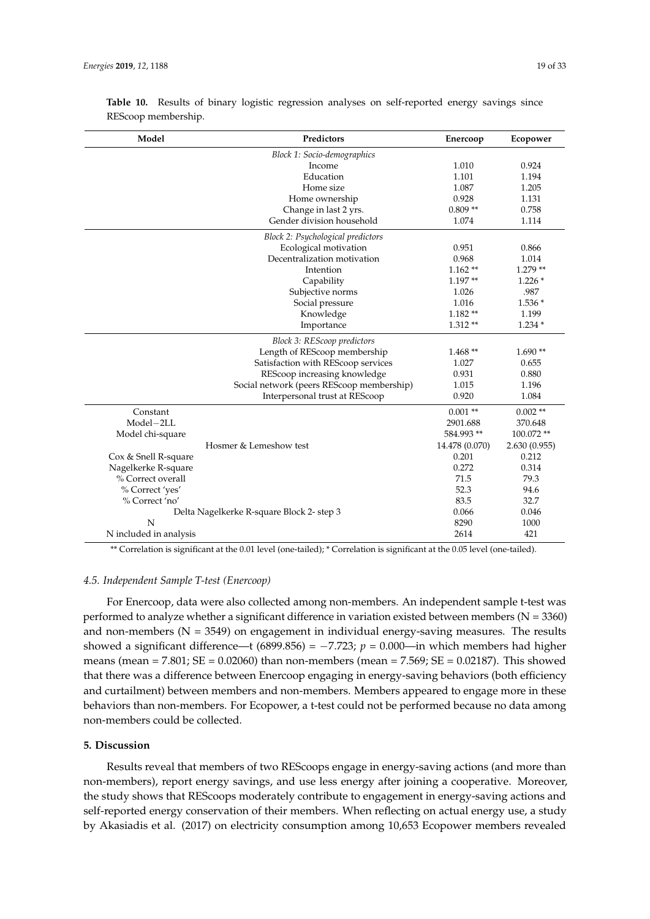| Model                  | Predictors                                | Enercoop       | Ecopower     |
|------------------------|-------------------------------------------|----------------|--------------|
|                        | Block 1: Socio-demographics               |                |              |
|                        | Income                                    | 1.010          | 0.924        |
|                        | Education                                 | 1.101          | 1.194        |
|                        | Home size                                 | 1.087          | 1.205        |
|                        | Home ownership                            | 0.928          | 1.131        |
|                        | Change in last 2 yrs.                     | $0.809**$      | 0.758        |
|                        | Gender division household                 | 1.074          | 1.114        |
|                        | Block 2: Psychological predictors         |                |              |
|                        | Ecological motivation                     | 0.951          | 0.866        |
|                        | Decentralization motivation               | 0.968          | 1.014        |
|                        | Intention                                 | $1.162**$      | $1.279**$    |
|                        | Capability                                | $1.197**$      | $1.226*$     |
|                        | Subjective norms                          | 1.026          | .987         |
|                        | Social pressure                           | 1.016          | 1.536 *      |
|                        | Knowledge                                 | $1.182**$      | 1.199        |
|                        | Importance                                | $1.312**$      | $1.234*$     |
|                        | Block 3: REScoop predictors               |                |              |
|                        | Length of REScoop membership              | $1.468**$      | $1.690**$    |
|                        | Satisfaction with REScoop services        | 1.027          | 0.655        |
|                        | REScoop increasing knowledge              | 0.931          | 0.880        |
|                        | Social network (peers REScoop membership) | 1.015          | 1.196        |
|                        | Interpersonal trust at REScoop            | 0.920          | 1.084        |
| Constant               |                                           | $0.001**$      | $0.002**$    |
| Model-2LL              |                                           | 2901.688       | 370.648      |
| Model chi-square       |                                           | 584.993**      | 100.072 **   |
|                        | Hosmer & Lemeshow test                    | 14.478 (0.070) | 2.630(0.955) |
| Cox & Snell R-square   |                                           | 0.201          | 0.212        |
| Nagelkerke R-square    |                                           | 0.272          | 0.314        |
| % Correct overall      |                                           | 71.5           | 79.3         |
| % Correct 'yes'        |                                           | 52.3           | 94.6         |
| % Correct 'no'         |                                           | 83.5           | 32.7         |
|                        | Delta Nagelkerke R-square Block 2- step 3 | 0.066          | 0.046        |
| N                      |                                           | 8290           | 1000         |
| N included in analysis |                                           | 2614           | 421          |

<span id="page-19-2"></span>**Table 10.** Results of binary logistic regression analyses on self-reported energy savings since REScoop membership.

\*\* Correlation is significant at the 0.01 level (one-tailed); \* Correlation is significant at the 0.05 level (one-tailed).

## <span id="page-19-1"></span>*4.5. Independent Sample T-test (Enercoop)*

For Enercoop, data were also collected among non-members. An independent sample t-test was performed to analyze whether a significant difference in variation existed between members ( $N = 3360$ ) and non-members ( $N = 3549$ ) on engagement in individual energy-saving measures. The results showed a significant difference—t (6899.856) =  $-7.723$ ;  $p = 0.000$ —in which members had higher means (mean =  $7.801$ ; SE =  $0.02060$ ) than non-members (mean =  $7.569$ ; SE =  $0.02187$ ). This showed that there was a difference between Enercoop engaging in energy-saving behaviors (both efficiency and curtailment) between members and non-members. Members appeared to engage more in these behaviors than non-members. For Ecopower, a t-test could not be performed because no data among non-members could be collected.

## <span id="page-19-0"></span>**5. Discussion**

Results reveal that members of two REScoops engage in energy-saving actions (and more than non-members), report energy savings, and use less energy after joining a cooperative. Moreover, the study shows that REScoops moderately contribute to engagement in energy-saving actions and self-reported energy conservation of their members. When reflecting on actual energy use, a study by Akasiadis et al. (2017) on electricity consumption among 10,653 Ecopower members revealed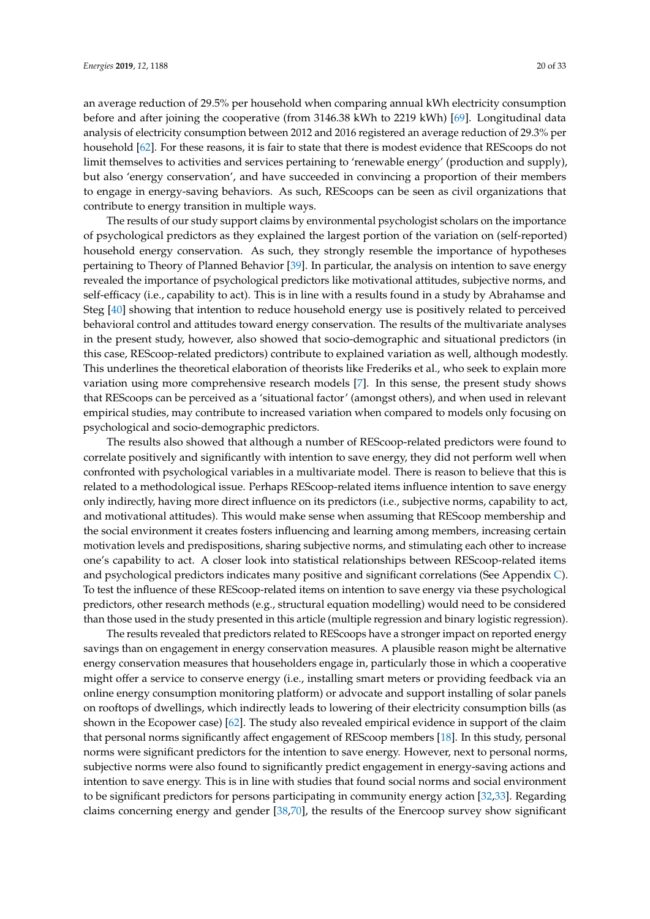an average reduction of 29.5% per household when comparing annual kWh electricity consumption before and after joining the cooperative (from 3146.38 kWh to 2219 kWh) [\[69\]](#page-33-16). Longitudinal data analysis of electricity consumption between 2012 and 2016 registered an average reduction of 29.3% per household [\[62\]](#page-33-9). For these reasons, it is fair to state that there is modest evidence that REScoops do not limit themselves to activities and services pertaining to 'renewable energy' (production and supply), but also 'energy conservation', and have succeeded in convincing a proportion of their members to engage in energy-saving behaviors. As such, REScoops can be seen as civil organizations that contribute to energy transition in multiple ways.

The results of our study support claims by environmental psychologist scholars on the importance of psychological predictors as they explained the largest portion of the variation on (self-reported) household energy conservation. As such, they strongly resemble the importance of hypotheses pertaining to Theory of Planned Behavior [\[39\]](#page-32-9). In particular, the analysis on intention to save energy revealed the importance of psychological predictors like motivational attitudes, subjective norms, and self-efficacy (i.e., capability to act). This is in line with a results found in a study by Abrahamse and Steg [\[40\]](#page-32-10) showing that intention to reduce household energy use is positively related to perceived behavioral control and attitudes toward energy conservation. The results of the multivariate analyses in the present study, however, also showed that socio-demographic and situational predictors (in this case, REScoop-related predictors) contribute to explained variation as well, although modestly. This underlines the theoretical elaboration of theorists like Frederiks et al., who seek to explain more variation using more comprehensive research models [\[7\]](#page-31-3). In this sense, the present study shows that REScoops can be perceived as a 'situational factor' (amongst others), and when used in relevant empirical studies, may contribute to increased variation when compared to models only focusing on psychological and socio-demographic predictors.

The results also showed that although a number of REScoop-related predictors were found to correlate positively and significantly with intention to save energy, they did not perform well when confronted with psychological variables in a multivariate model. There is reason to believe that this is related to a methodological issue. Perhaps REScoop-related items influence intention to save energy only indirectly, having more direct influence on its predictors (i.e., subjective norms, capability to act, and motivational attitudes). This would make sense when assuming that REScoop membership and the social environment it creates fosters influencing and learning among members, increasing certain motivation levels and predispositions, sharing subjective norms, and stimulating each other to increase one's capability to act. A closer look into statistical relationships between REScoop-related items and psychological predictors indicates many positive and significant correlations (See Appendix [C\)](#page-29-0). To test the influence of these REScoop-related items on intention to save energy via these psychological predictors, other research methods (e.g., structural equation modelling) would need to be considered than those used in the study presented in this article (multiple regression and binary logistic regression).

The results revealed that predictors related to REScoops have a stronger impact on reported energy savings than on engagement in energy conservation measures. A plausible reason might be alternative energy conservation measures that householders engage in, particularly those in which a cooperative might offer a service to conserve energy (i.e., installing smart meters or providing feedback via an online energy consumption monitoring platform) or advocate and support installing of solar panels on rooftops of dwellings, which indirectly leads to lowering of their electricity consumption bills (as shown in the Ecopower case) [\[62\]](#page-33-9). The study also revealed empirical evidence in support of the claim that personal norms significantly affect engagement of REScoop members [\[18\]](#page-31-17). In this study, personal norms were significant predictors for the intention to save energy. However, next to personal norms, subjective norms were also found to significantly predict engagement in energy-saving actions and intention to save energy. This is in line with studies that found social norms and social environment to be significant predictors for persons participating in community energy action [\[32](#page-32-23)[,33\]](#page-32-3). Regarding claims concerning energy and gender [\[38](#page-32-8)[,70\]](#page-33-17), the results of the Enercoop survey show significant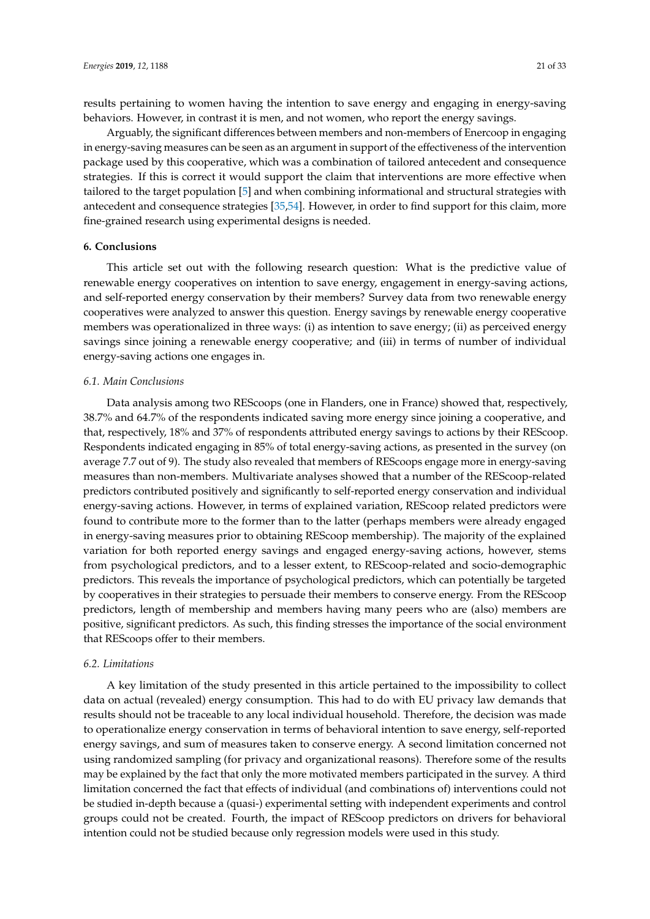results pertaining to women having the intention to save energy and engaging in energy-saving behaviors. However, in contrast it is men, and not women, who report the energy savings.

Arguably, the significant differences between members and non-members of Enercoop in engaging in energy-saving measures can be seen as an argument in support of the effectiveness of the intervention package used by this cooperative, which was a combination of tailored antecedent and consequence strategies. If this is correct it would support the claim that interventions are more effective when tailored to the target population [\[5\]](#page-31-2) and when combining informational and structural strategies with antecedent and consequence strategies [\[35](#page-32-5)[,54\]](#page-33-1). However, in order to find support for this claim, more fine-grained research using experimental designs is needed.

#### <span id="page-21-0"></span>**6. Conclusions**

This article set out with the following research question: What is the predictive value of renewable energy cooperatives on intention to save energy, engagement in energy-saving actions, and self-reported energy conservation by their members? Survey data from two renewable energy cooperatives were analyzed to answer this question. Energy savings by renewable energy cooperative members was operationalized in three ways: (i) as intention to save energy; (ii) as perceived energy savings since joining a renewable energy cooperative; and (iii) in terms of number of individual energy-saving actions one engages in.

#### *6.1. Main Conclusions*

Data analysis among two REScoops (one in Flanders, one in France) showed that, respectively, 38.7% and 64.7% of the respondents indicated saving more energy since joining a cooperative, and that, respectively, 18% and 37% of respondents attributed energy savings to actions by their REScoop. Respondents indicated engaging in 85% of total energy-saving actions, as presented in the survey (on average 7.7 out of 9). The study also revealed that members of REScoops engage more in energy-saving measures than non-members. Multivariate analyses showed that a number of the REScoop-related predictors contributed positively and significantly to self-reported energy conservation and individual energy-saving actions. However, in terms of explained variation, REScoop related predictors were found to contribute more to the former than to the latter (perhaps members were already engaged in energy-saving measures prior to obtaining REScoop membership). The majority of the explained variation for both reported energy savings and engaged energy-saving actions, however, stems from psychological predictors, and to a lesser extent, to REScoop-related and socio-demographic predictors. This reveals the importance of psychological predictors, which can potentially be targeted by cooperatives in their strategies to persuade their members to conserve energy. From the REScoop predictors, length of membership and members having many peers who are (also) members are positive, significant predictors. As such, this finding stresses the importance of the social environment that REScoops offer to their members.

#### *6.2. Limitations*

A key limitation of the study presented in this article pertained to the impossibility to collect data on actual (revealed) energy consumption. This had to do with EU privacy law demands that results should not be traceable to any local individual household. Therefore, the decision was made to operationalize energy conservation in terms of behavioral intention to save energy, self-reported energy savings, and sum of measures taken to conserve energy. A second limitation concerned not using randomized sampling (for privacy and organizational reasons). Therefore some of the results may be explained by the fact that only the more motivated members participated in the survey. A third limitation concerned the fact that effects of individual (and combinations of) interventions could not be studied in-depth because a (quasi-) experimental setting with independent experiments and control groups could not be created. Fourth, the impact of REScoop predictors on drivers for behavioral intention could not be studied because only regression models were used in this study.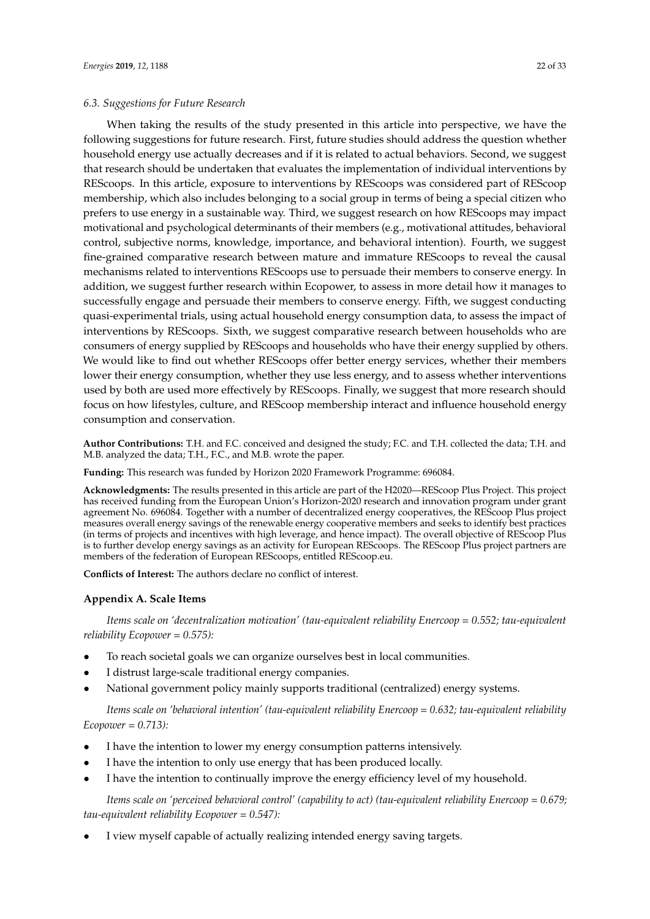#### *6.3. Suggestions for Future Research*

When taking the results of the study presented in this article into perspective, we have the following suggestions for future research. First, future studies should address the question whether household energy use actually decreases and if it is related to actual behaviors. Second, we suggest that research should be undertaken that evaluates the implementation of individual interventions by REScoops. In this article, exposure to interventions by REScoops was considered part of REScoop membership, which also includes belonging to a social group in terms of being a special citizen who prefers to use energy in a sustainable way. Third, we suggest research on how REScoops may impact motivational and psychological determinants of their members (e.g., motivational attitudes, behavioral control, subjective norms, knowledge, importance, and behavioral intention). Fourth, we suggest fine-grained comparative research between mature and immature REScoops to reveal the causal mechanisms related to interventions REScoops use to persuade their members to conserve energy. In addition, we suggest further research within Ecopower, to assess in more detail how it manages to successfully engage and persuade their members to conserve energy. Fifth, we suggest conducting quasi-experimental trials, using actual household energy consumption data, to assess the impact of interventions by REScoops. Sixth, we suggest comparative research between households who are consumers of energy supplied by REScoops and households who have their energy supplied by others. We would like to find out whether REScoops offer better energy services, whether their members lower their energy consumption, whether they use less energy, and to assess whether interventions used by both are used more effectively by REScoops. Finally, we suggest that more research should focus on how lifestyles, culture, and REScoop membership interact and influence household energy consumption and conservation.

**Author Contributions:** T.H. and F.C. conceived and designed the study; F.C. and T.H. collected the data; T.H. and M.B. analyzed the data; T.H., F.C., and M.B. wrote the paper.

**Funding:** This research was funded by Horizon 2020 Framework Programme: 696084.

**Acknowledgments:** The results presented in this article are part of the H2020—REScoop Plus Project. This project has received funding from the European Union's Horizon-2020 research and innovation program under grant agreement No. 696084. Together with a number of decentralized energy cooperatives, the REScoop Plus project measures overall energy savings of the renewable energy cooperative members and seeks to identify best practices (in terms of projects and incentives with high leverage, and hence impact). The overall objective of REScoop Plus is to further develop energy savings as an activity for European REScoops. The REScoop Plus project partners are members of the federation of European REScoops, entitled REScoop.eu.

**Conflicts of Interest:** The authors declare no conflict of interest.

#### <span id="page-22-0"></span>**Appendix A. Scale Items**

*Items scale on 'decentralization motivation' (tau-equivalent reliability Enercoop = 0.552; tau-equivalent reliability Ecopower = 0.575):*

- To reach societal goals we can organize ourselves best in local communities.
- I distrust large-scale traditional energy companies.
- National government policy mainly supports traditional (centralized) energy systems.

*Items scale on 'behavioral intention' (tau-equivalent reliability Enercoop = 0.632; tau-equivalent reliability Ecopower = 0.713):*

- I have the intention to lower my energy consumption patterns intensively.
- I have the intention to only use energy that has been produced locally.
- I have the intention to continually improve the energy efficiency level of my household.

*Items scale on 'perceived behavioral control' (capability to act) (tau-equivalent reliability Enercoop = 0.679; tau-equivalent reliability Ecopower = 0.547):*

I view myself capable of actually realizing intended energy saving targets.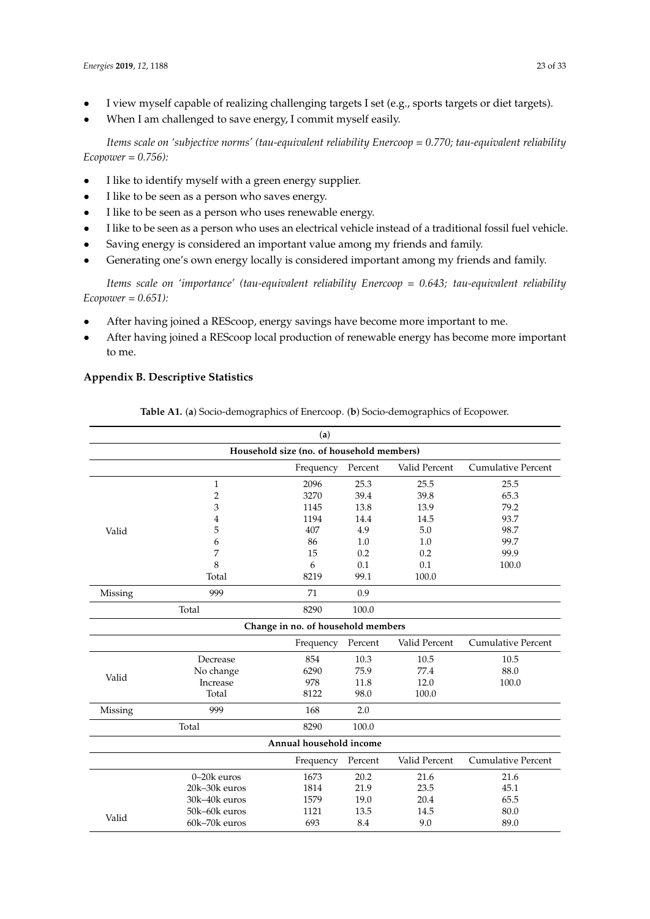- I view myself capable of realizing challenging targets I set (e.g., sports targets or diet targets).
- When I am challenged to save energy, I commit myself easily.

*Items scale on 'subjective norms' (tau-equivalent reliability Enercoop = 0.770; tau-equivalent reliability Ecopower = 0.756):*

- I like to identify myself with a green energy supplier.
- I like to be seen as a person who saves energy.
- I like to be seen as a person who uses renewable energy.
- I like to be seen as a person who uses an electrical vehicle instead of a traditional fossil fuel vehicle.
- Saving energy is considered an important value among my friends and family.
- Generating one's own energy locally is considered important among my friends and family.

*Items scale on 'importance' (tau-equivalent reliability Enercoop = 0.643; tau-equivalent reliability Ecopower = 0.651):*

- After having joined a REScoop, energy savings have become more important to me.
- After having joined a REScoop local production of renewable energy has become more important to me.

## <span id="page-23-0"></span>**Appendix B. Descriptive Statistics**

|         |                | (a)                                       |         |               |                           |
|---------|----------------|-------------------------------------------|---------|---------------|---------------------------|
|         |                | Household size (no. of household members) |         |               |                           |
|         |                | Frequency                                 | Percent | Valid Percent | <b>Cumulative Percent</b> |
|         | $\mathbf{1}$   | 2096                                      | 25.3    | 25.5          | 25.5                      |
|         | $\overline{2}$ | 3270                                      | 39.4    | 39.8          | 65.3                      |
|         | 3              | 1145                                      | 13.8    | 13.9          | 79.2                      |
|         | 4              | 1194                                      | 14.4    | 14.5          | 93.7                      |
| Valid   | 5              | 407                                       | 4.9     | 5.0           | 98.7                      |
|         | 6              | 86                                        | 1.0     | 1.0           | 99.7                      |
|         | 7              | 15                                        | 0.2     | 0.2           | 99.9                      |
|         | 8              | 6                                         | 0.1     | 0.1           | 100.0                     |
|         | Total          | 8219                                      | 99.1    | 100.0         |                           |
| Missing | 999            | 71                                        | 0.9     |               |                           |
|         | Total          | 8290                                      | 100.0   |               |                           |
|         |                | Change in no. of household members        |         |               |                           |
|         |                | Frequency                                 | Percent | Valid Percent | <b>Cumulative Percent</b> |
|         | Decrease       | 854                                       | 10.3    | 10.5          | 10.5                      |
|         | No change      | 6290                                      | 75.9    | 77.4          | 88.0                      |
| Valid   | Increase       | 978                                       | 11.8    | 12.0          | 100.0                     |
|         | Total          | 8122                                      | 98.0    | 100.0         |                           |
| Missing | 999            | 168                                       | 2.0     |               |                           |
|         | Total          | 8290                                      | 100.0   |               |                           |
|         |                | Annual household income                   |         |               |                           |
|         |                | Frequency                                 | Percent | Valid Percent | <b>Cumulative Percent</b> |
|         | 0-20k euros    | 1673                                      | 20.2    | 21.6          | 21.6                      |
|         | 20k-30k euros  | 1814                                      | 21.9    | 23.5          | 45.1                      |
|         | 30k-40k euros  | 1579                                      | 19.0    | 20.4          | 65.5                      |
|         | 50k-60k euros  | 1121                                      | 13.5    | 14.5          | 80.0                      |
| Valid   | 60k-70k euros  | 693                                       | 8.4     | 9.0           | 89.0                      |
|         |                |                                           |         |               |                           |

**Table A1.** (**a**) Socio-demographics of Enercoop. (**b**) Socio-demographics of Ecopower.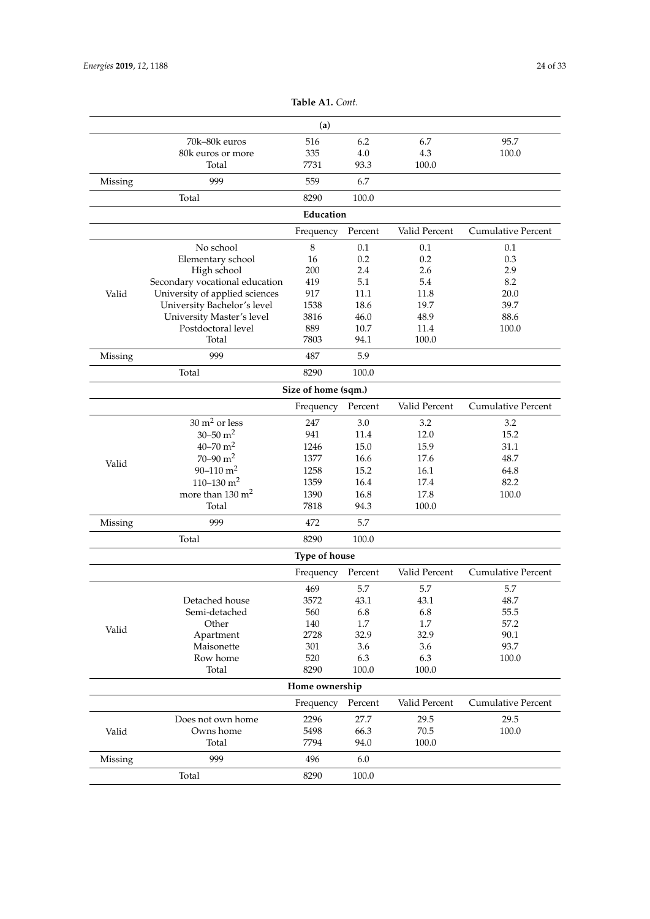|         |                                | (a)                  |         |               |                           |
|---------|--------------------------------|----------------------|---------|---------------|---------------------------|
|         | 70k-80k euros                  | 516                  | 6.2     | 6.7           | 95.7                      |
|         | 80k euros or more              | 335                  | 4.0     | 4.3           | 100.0                     |
|         | Total                          | 7731                 | 93.3    | 100.0         |                           |
| Missing | 999                            | 559                  | 6.7     |               |                           |
|         | Total                          | 8290                 | 100.0   |               |                           |
|         |                                | Education            |         |               |                           |
|         |                                | Frequency            | Percent | Valid Percent | <b>Cumulative Percent</b> |
|         | No school                      | 8                    | 0.1     | 0.1           | 0.1                       |
|         | Elementary school              | 16                   | 0.2     | 0.2           | 0.3                       |
|         | High school                    | 200                  | 2.4     | 2.6           | 2.9                       |
|         | Secondary vocational education | 419                  | 5.1     | 5.4           | 8.2                       |
| Valid   | University of applied sciences | 917                  | 11.1    | 11.8          | 20.0                      |
|         | University Bachelor's level    | 1538                 | 18.6    | 19.7          | 39.7                      |
|         | University Master's level      | 3816                 | 46.0    | 48.9          | 88.6                      |
|         |                                |                      |         |               |                           |
|         | Postdoctoral level             | 889                  | 10.7    | 11.4          | 100.0                     |
|         | Total                          | 7803                 | 94.1    | 100.0         |                           |
| Missing | 999                            | 487                  | 5.9     |               |                           |
|         | Total                          | 8290                 | 100.0   |               |                           |
|         |                                | Size of home (sqm.)  |         |               |                           |
|         |                                | Frequency            | Percent | Valid Percent | <b>Cumulative Percent</b> |
|         | $30\ \mathrm{m}^2$ or less     | 247                  | 3.0     | 3.2           | 3.2                       |
|         | 30-50 $m2$                     | 941                  | 11.4    | 12.0          | 15.2                      |
|         | 40-70 $m2$                     | 1246                 | 15.0    | 15.9          | 31.1                      |
|         | $70 - 90$ m <sup>2</sup>       | 1377                 | 16.6    | 17.6          | 48.7                      |
| Valid   | $90 - 110$ m <sup>2</sup>      | 1258                 | 15.2    | 16.1          | 64.8                      |
|         |                                |                      |         |               |                           |
|         | 110-130 $m2$                   | 1359                 | 16.4    | 17.4          | 82.2                      |
|         | more than $130 \text{ m}^2$    | 1390                 | 16.8    | 17.8          | 100.0                     |
|         | Total                          | 7818                 | 94.3    | 100.0         |                           |
| Missing | 999                            | 472                  | 5.7     |               |                           |
|         | Total                          | 8290                 | 100.0   |               |                           |
|         |                                | <b>Type of house</b> |         |               |                           |
|         |                                | Frequency            | Percent | Valid Percent | <b>Cumulative Percent</b> |
|         |                                | 469                  | 5.7     | 5.7           | 5.7                       |
|         | Detached house                 | 3572                 | 43.1    | 43.1          | 48.7                      |
|         | Semi-detached                  | 560                  | 6.8     | 6.8           | 55.5                      |
|         | Other                          | 140                  | 1.7     | $1.7\,$       | 57.2                      |
| Valid   | Apartment                      | 2728                 | 32.9    | 32.9          | 90.1                      |
|         | Maisonette                     | 301                  | 3.6     | 3.6           | 93.7                      |
|         | Row home                       | 520                  | 6.3     | 6.3           | 100.0                     |
|         | Total                          | 8290                 | 100.0   | 100.0         |                           |
|         |                                |                      |         |               |                           |
|         |                                | Home ownership       |         |               |                           |
|         |                                | Frequency            | Percent | Valid Percent | <b>Cumulative Percent</b> |
|         | Does not own home              | 2296                 | 27.7    | 29.5          | 29.5                      |
| Valid   | Owns home                      | 5498                 | 66.3    | 70.5          | 100.0                     |
|         | Total                          | 7794                 | 94.0    | 100.0         |                           |
| Missing | 999                            | 496                  | 6.0     |               |                           |
|         | Total                          | 8290                 | 100.0   |               |                           |
|         |                                |                      |         |               |                           |

**Table A1.** *Cont.*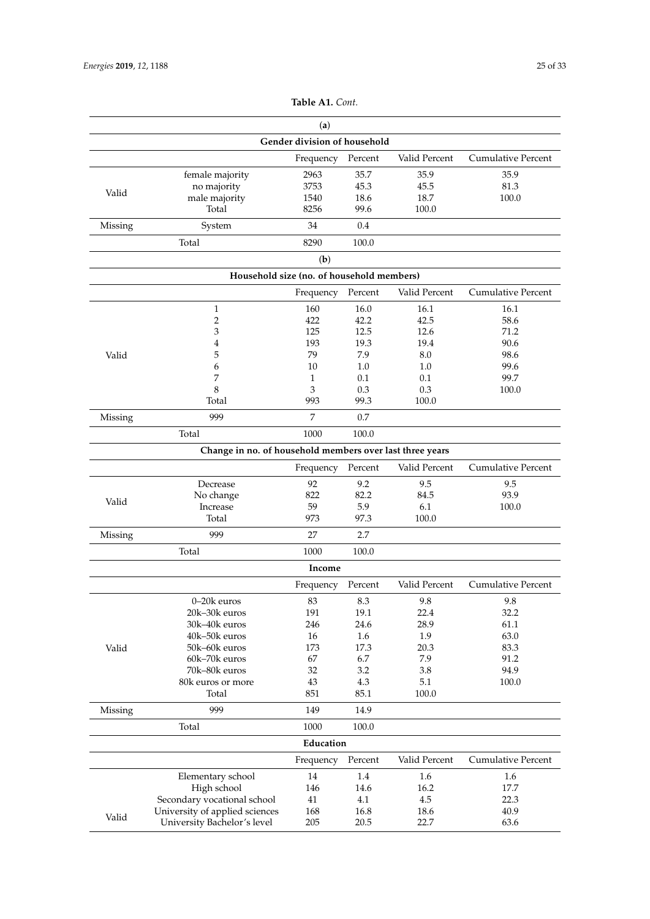|         |                                                          | (a)                          |         |               |                           |
|---------|----------------------------------------------------------|------------------------------|---------|---------------|---------------------------|
|         |                                                          | Gender division of household |         |               |                           |
|         |                                                          | Frequency Percent            |         | Valid Percent | Cumulative Percent        |
|         | female majority                                          | 2963                         | 35.7    | 35.9          | 35.9                      |
| Valid   | no majority                                              | 3753                         | 45.3    | 45.5          | 81.3                      |
|         | male majority                                            | 1540                         | 18.6    | 18.7          | 100.0                     |
|         | Total                                                    | 8256                         | 99.6    | 100.0         |                           |
| Missing | System                                                   | 34                           | 0.4     |               |                           |
|         | Total                                                    | 8290                         | 100.0   |               |                           |
|         |                                                          | (b)                          |         |               |                           |
|         | Household size (no. of household members)                |                              |         |               |                           |
|         |                                                          | Frequency                    | Percent | Valid Percent | <b>Cumulative Percent</b> |
|         | $\mathbf{1}$                                             | 160                          | 16.0    | 16.1          | 16.1                      |
|         | 2                                                        | 422                          | 42.2    | 42.5          | 58.6                      |
|         | 3                                                        | 125                          | 12.5    | 12.6          | 71.2                      |
|         | 4                                                        | 193                          | 19.3    | 19.4          | 90.6                      |
| Valid   | 5                                                        | 79                           | 7.9     | 8.0           | 98.6                      |
|         | 6                                                        | 10                           | 1.0     | 1.0           | 99.6                      |
|         | 7                                                        | 1                            | 0.1     | 0.1           | 99.7                      |
|         | 8                                                        | 3                            | 0.3     | 0.3           | 100.0                     |
|         | Total                                                    | 993                          | 99.3    | 100.0         |                           |
| Missing | 999                                                      | 7                            | 0.7     |               |                           |
|         | Total                                                    | 1000                         | 100.0   |               |                           |
|         | Change in no. of household members over last three years |                              |         |               |                           |
|         |                                                          | Frequency Percent            |         | Valid Percent | <b>Cumulative Percent</b> |
|         | Decrease                                                 | 92                           | 9.2     | 9.5           | 9.5                       |
|         | No change                                                | 822                          | 82.2    | 84.5          | 93.9                      |
| Valid   | Increase                                                 | 59                           | 5.9     | 6.1           | 100.0                     |
|         | Total                                                    | 973                          | 97.3    | 100.0         |                           |
| Missing | 999                                                      | 27                           | 2.7     |               |                           |
|         | Total                                                    | 1000                         | 100.0   |               |                           |
|         |                                                          | Income                       |         |               |                           |
|         |                                                          | Frequency                    | Percent | Valid Percent | <b>Cumulative Percent</b> |
|         | $0\text{--}20\mathrm{k}$ euros                           | 83                           | 8.3     | 9.8           | 9.8                       |
|         | 20k-30k euros                                            | 191                          | 19.1    | 22.4          | 32.2                      |
|         | 30k-40k euros                                            | 246                          | 24.6    | 28.9          | 61.1                      |
|         | 40k-50k euros                                            | 16                           | 1.6     | 1.9           | 63.0                      |
| Valid   | 50k-60k euros                                            | 173                          | 17.3    | 20.3          | 83.3                      |
|         | 60k-70k euros                                            | 67                           | 6.7     | 7.9           | 91.2                      |
|         | 70k-80k euros                                            | 32                           | 3.2     | $3.8\,$       | 94.9                      |
|         | 80k euros or more                                        | 43                           | $4.3\,$ | 5.1           | 100.0                     |
|         | Total                                                    | 851                          | 85.1    | 100.0         |                           |
| Missing | 999                                                      | 149                          | 14.9    |               |                           |
|         | Total                                                    | 1000                         | 100.0   |               |                           |
|         |                                                          | Education                    |         |               |                           |
|         |                                                          | Frequency                    | Percent | Valid Percent | <b>Cumulative Percent</b> |
|         | Elementary school                                        | 14                           | 1.4     | 1.6           | 1.6                       |
|         |                                                          | 146                          | 14.6    | 16.2          | 17.7                      |
|         | High school<br>Secondary vocational school               | 41                           | $4.1\,$ | 4.5           | 22.3                      |
|         | University of applied sciences                           | 168                          | 16.8    | 18.6          | 40.9                      |
| Valid   | University Bachelor's level                              | 205                          | 20.5    | 22.7          | 63.6                      |
|         |                                                          |                              |         |               |                           |

**Table A1.** *Cont.*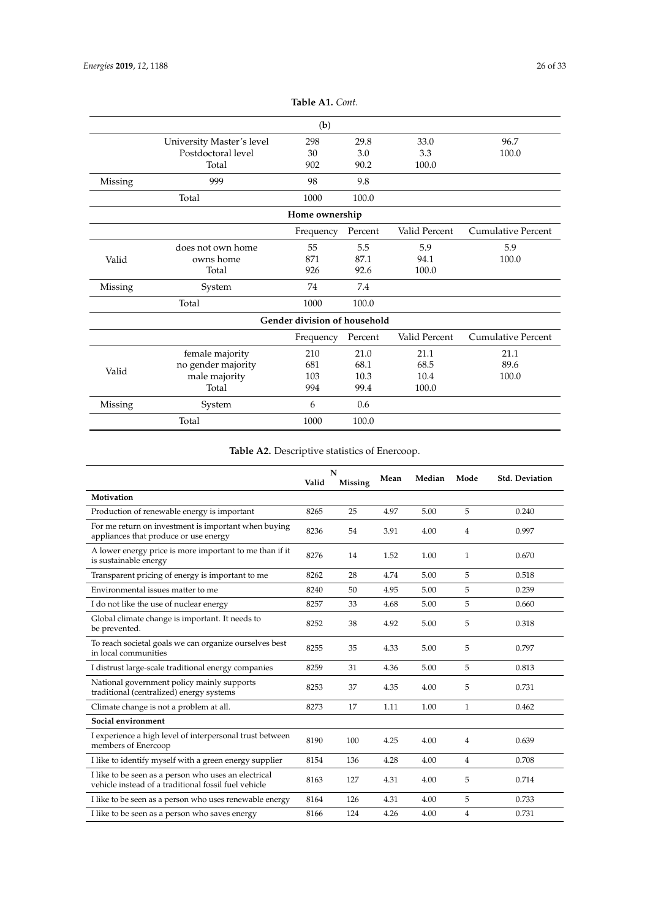|         |                           | (b)                          |         |               |                    |
|---------|---------------------------|------------------------------|---------|---------------|--------------------|
|         | University Master's level | 298                          | 29.8    | 33.0          | 96.7               |
|         | Postdoctoral level        | 30                           | 3.0     | 3.3           | 100.0              |
|         | Total                     | 902                          | 90.2    | 100.0         |                    |
| Missing | 999                       | 98                           | 9.8     |               |                    |
|         | Total                     | 1000                         | 100.0   |               |                    |
|         |                           | Home ownership               |         |               |                    |
|         |                           | Frequency                    | Percent | Valid Percent | Cumulative Percent |
|         | does not own home         | 55                           | 5.5     | 5.9           | 5.9                |
| Valid   | owns home                 | 871                          | 87.1    | 94.1          | 100.0              |
|         | Total                     | 926                          | 92.6    | 100.0         |                    |
| Missing | System                    | 74                           | 7.4     |               |                    |
|         | Total                     | 1000                         | 100.0   |               |                    |
|         |                           | Gender division of household |         |               |                    |
|         |                           | Frequency                    | Percent | Valid Percent | Cumulative Percent |
|         | female majority           | 210                          | 21.0    | 21.1          | 21.1               |
|         | no gender majority        | 681                          | 68.1    | 68.5          | 89.6               |
| Valid   | male majority             | 103                          | 10.3    | 10.4          | 100.0              |
|         | Total                     | 994                          | 99.4    | 100.0         |                    |
| Missing | System                    | 6                            | 0.6     |               |                    |
|         | Total                     | 1000                         | 100.0   |               |                    |

**Table A1.** *Cont.*

# **Table A2.** Descriptive statistics of Enercoop.

|                                                                                                              |       | N       |      |        |              |                       |
|--------------------------------------------------------------------------------------------------------------|-------|---------|------|--------|--------------|-----------------------|
|                                                                                                              | Valid | Missing | Mean | Median | Mode         | <b>Std. Deviation</b> |
| Motivation                                                                                                   |       |         |      |        |              |                       |
| Production of renewable energy is important                                                                  | 8265  | 25      | 4.97 | 5.00   | 5            | 0.240                 |
| For me return on investment is important when buying<br>appliances that produce or use energy                | 8236  | 54      | 3.91 | 4.00   | 4            | 0.997                 |
| A lower energy price is more important to me than if it<br>is sustainable energy                             | 8276  | 14      | 1.52 | 1.00   | 1            | 0.670                 |
| Transparent pricing of energy is important to me                                                             | 8262  | 28      | 4.74 | 5.00   | 5            | 0.518                 |
| Environmental issues matter to me                                                                            | 8240  | 50      | 4.95 | 5.00   | 5            | 0.239                 |
| I do not like the use of nuclear energy                                                                      | 8257  | 33      | 4.68 | 5.00   | 5            | 0.660                 |
| Global climate change is important. It needs to<br>be prevented.                                             | 8252  | 38      | 4.92 | 5.00   | 5            | 0.318                 |
| To reach societal goals we can organize ourselves best<br>in local communities                               | 8255  | 35      | 4.33 | 5.00   | 5            | 0.797                 |
| I distrust large-scale traditional energy companies                                                          | 8259  | 31      | 4.36 | 5.00   | 5            | 0.813                 |
| National government policy mainly supports<br>traditional (centralized) energy systems                       | 8253  | 37      | 4.35 | 4.00   | 5            | 0.731                 |
| Climate change is not a problem at all.                                                                      | 8273  | 17      | 1.11 | 1.00   | $\mathbf{1}$ | 0.462                 |
| Social environment                                                                                           |       |         |      |        |              |                       |
| I experience a high level of interpersonal trust between<br>members of Enercoop                              | 8190  | 100     | 4.25 | 4.00   | 4            | 0.639                 |
| I like to identify myself with a green energy supplier                                                       | 8154  | 136     | 4.28 | 4.00   | 4            | 0.708                 |
| I like to be seen as a person who uses an electrical<br>vehicle instead of a traditional fossil fuel vehicle | 8163  | 127     | 4.31 | 4.00   | 5            | 0.714                 |
| I like to be seen as a person who uses renewable energy                                                      | 8164  | 126     | 4.31 | 4.00   | 5            | 0.733                 |
| I like to be seen as a person who saves energy                                                               | 8166  | 124     | 4.26 | 4.00   | 4            | 0.731                 |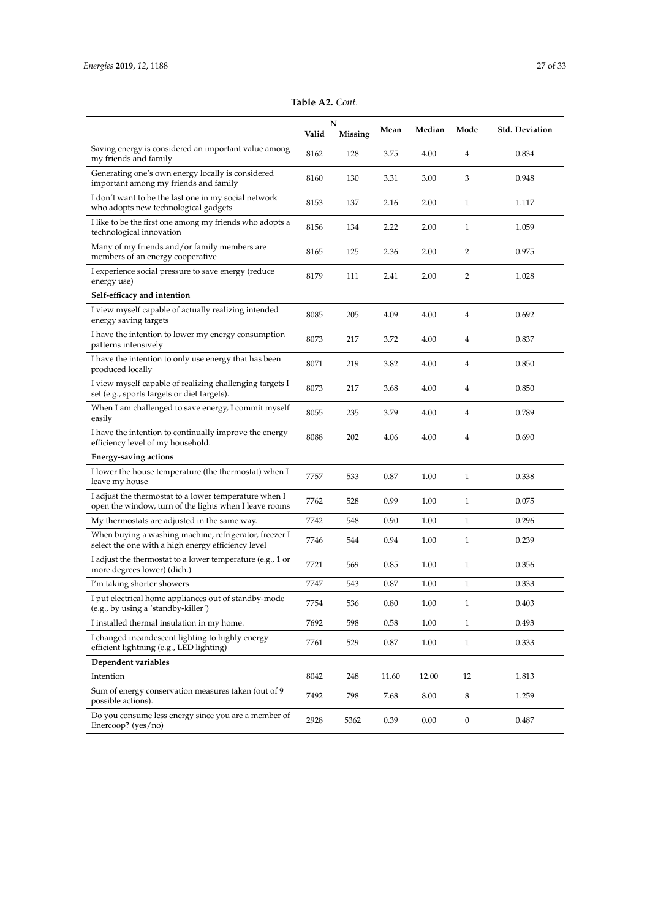|                                                                                                                 | Valid | N<br>Missing | Mean  | Median | Mode             | <b>Std. Deviation</b> |
|-----------------------------------------------------------------------------------------------------------------|-------|--------------|-------|--------|------------------|-----------------------|
| Saving energy is considered an important value among<br>my friends and family                                   | 8162  | 128          | 3.75  | 4.00   | 4                | 0.834                 |
| Generating one's own energy locally is considered<br>important among my friends and family                      | 8160  | 130          | 3.31  | 3.00   | 3                | 0.948                 |
| I don't want to be the last one in my social network<br>who adopts new technological gadgets                    | 8153  | 137          | 2.16  | 2.00   | 1                | 1.117                 |
| I like to be the first one among my friends who adopts a<br>technological innovation                            | 8156  | 134          | 2.22  | 2.00   | 1                | 1.059                 |
| Many of my friends and/or family members are<br>members of an energy cooperative                                | 8165  | 125          | 2.36  | 2.00   | 2                | 0.975                 |
| I experience social pressure to save energy (reduce<br>energy use)                                              | 8179  | 111          | 2.41  | 2.00   | 2                | 1.028                 |
| Self-efficacy and intention                                                                                     |       |              |       |        |                  |                       |
| I view myself capable of actually realizing intended<br>energy saving targets                                   | 8085  | 205          | 4.09  | 4.00   | 4                | 0.692                 |
| I have the intention to lower my energy consumption<br>patterns intensively                                     | 8073  | 217          | 3.72  | 4.00   | 4                | 0.837                 |
| I have the intention to only use energy that has been<br>produced locally                                       | 8071  | 219          | 3.82  | 4.00   | 4                | 0.850                 |
| I view myself capable of realizing challenging targets I<br>set (e.g., sports targets or diet targets).         | 8073  | 217          | 3.68  | 4.00   | 4                | 0.850                 |
| When I am challenged to save energy, I commit myself<br>easily                                                  | 8055  | 235          | 3.79  | 4.00   | 4                | 0.789                 |
| I have the intention to continually improve the energy<br>efficiency level of my household.                     | 8088  | 202          | 4.06  | 4.00   | 4                | 0.690                 |
| <b>Energy-saving actions</b>                                                                                    |       |              |       |        |                  |                       |
| I lower the house temperature (the thermostat) when I<br>leave my house                                         | 7757  | 533          | 0.87  | 1.00   | 1                | 0.338                 |
| I adjust the thermostat to a lower temperature when I<br>open the window, turn of the lights when I leave rooms | 7762  | 528          | 0.99  | 1.00   | 1                | 0.075                 |
| My thermostats are adjusted in the same way.                                                                    | 7742  | 548          | 0.90  | 1.00   | 1                | 0.296                 |
| When buying a washing machine, refrigerator, freezer I<br>select the one with a high energy efficiency level    | 7746  | 544          | 0.94  | 1.00   | 1                | 0.239                 |
| I adjust the thermostat to a lower temperature (e.g., 1 or<br>more degrees lower) (dich.)                       | 7721  | 569          | 0.85  | 1.00   | 1                | 0.356                 |
| I'm taking shorter showers                                                                                      | 7747  | 543          | 0.87  | 1.00   | 1                | 0.333                 |
| I put electrical home appliances out of standby-mode<br>(e.g., by using a 'standby-killer')                     | 7754  | 536          | 0.80  | 1.00   | 1                | 0.403                 |
| I installed thermal insulation in my home.                                                                      | 7692  | 598          | 0.58  | 1.00   | $\mathbf{1}$     | 0.493                 |
| I changed incandescent lighting to highly energy<br>efficient lightning (e.g., LED lighting)                    | 7761  | 529          | 0.87  | 1.00   | 1                | 0.333                 |
| Dependent variables                                                                                             |       |              |       |        |                  |                       |
| Intention                                                                                                       | 8042  | 248          | 11.60 | 12.00  | 12               | 1.813                 |
| Sum of energy conservation measures taken (out of 9<br>possible actions).                                       | 7492  | 798          | 7.68  | 8.00   | 8                | 1.259                 |
| Do you consume less energy since you are a member of<br>Enercoop? (yes/no)                                      | 2928  | 5362         | 0.39  | 0.00   | $\boldsymbol{0}$ | 0.487                 |

**Table A2.** *Cont.*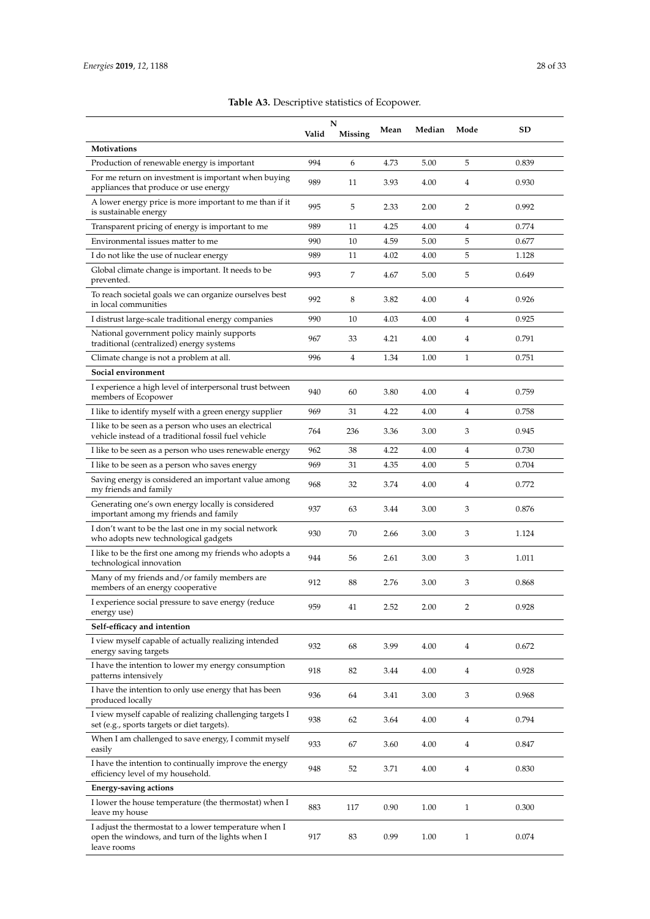|                                                                                                                         |       | N       |      | Median |      |       |
|-------------------------------------------------------------------------------------------------------------------------|-------|---------|------|--------|------|-------|
|                                                                                                                         | Valid | Missing | Mean |        | Mode | SD    |
| <b>Motivations</b>                                                                                                      |       |         |      |        |      |       |
| Production of renewable energy is important                                                                             | 994   | 6       | 4.73 | 5.00   | 5    | 0.839 |
| For me return on investment is important when buying<br>appliances that produce or use energy                           | 989   | 11      | 3.93 | 4.00   | 4    | 0.930 |
| A lower energy price is more important to me than if it<br>is sustainable energy                                        | 995   | 5       | 2.33 | 2.00   | 2    | 0.992 |
| Transparent pricing of energy is important to me                                                                        | 989   | 11      | 4.25 | 4.00   | 4    | 0.774 |
| Environmental issues matter to me                                                                                       | 990   | 10      | 4.59 | 5.00   | 5    | 0.677 |
| I do not like the use of nuclear energy                                                                                 | 989   | 11      | 4.02 | 4.00   | 5    | 1.128 |
| Global climate change is important. It needs to be<br>prevented.                                                        | 993   | 7       | 4.67 | 5.00   | 5    | 0.649 |
| To reach societal goals we can organize ourselves best<br>in local communities                                          | 992   | 8       | 3.82 | 4.00   | 4    | 0.926 |
| I distrust large-scale traditional energy companies                                                                     | 990   | 10      | 4.03 | 4.00   | 4    | 0.925 |
| National government policy mainly supports<br>traditional (centralized) energy systems                                  | 967   | 33      | 4.21 | 4.00   | 4    | 0.791 |
| Climate change is not a problem at all.                                                                                 | 996   | 4       | 1.34 | 1.00   | 1    | 0.751 |
| Social environment                                                                                                      |       |         |      |        |      |       |
| I experience a high level of interpersonal trust between<br>members of Ecopower                                         | 940   | 60      | 3.80 | 4.00   | 4    | 0.759 |
| I like to identify myself with a green energy supplier                                                                  | 969   | 31      | 4.22 | 4.00   | 4    | 0.758 |
| I like to be seen as a person who uses an electrical<br>vehicle instead of a traditional fossil fuel vehicle            | 764   | 236     | 3.36 | 3.00   | 3    | 0.945 |
| I like to be seen as a person who uses renewable energy                                                                 | 962   | 38      | 4.22 | 4.00   | 4    | 0.730 |
| I like to be seen as a person who saves energy                                                                          | 969   | 31      | 4.35 | 4.00   | 5    | 0.704 |
| Saving energy is considered an important value among<br>my friends and family                                           | 968   | 32      | 3.74 | 4.00   | 4    | 0.772 |
| Generating one's own energy locally is considered<br>important among my friends and family                              | 937   | 63      | 3.44 | 3.00   | 3    | 0.876 |
| I don't want to be the last one in my social network<br>who adopts new technological gadgets                            | 930   | 70      | 2.66 | 3.00   | 3    | 1.124 |
| I like to be the first one among my friends who adopts a<br>technological innovation                                    | 944   | 56      | 2.61 | 3.00   | 3    | 1.011 |
| Many of my friends and/or family members are<br>members of an energy cooperative                                        | 912   | 88      | 2.76 | 3.00   | 3    | 0.868 |
| I experience social pressure to save energy (reduce<br>energy use)                                                      | 959   | 41      | 2.52 | 2.00   | 2    | 0.928 |
| Self-efficacy and intention                                                                                             |       |         |      |        |      |       |
| I view myself capable of actually realizing intended<br>energy saving targets                                           | 932   | 68      | 3.99 | 4.00   | 4    | 0.672 |
| I have the intention to lower my energy consumption<br>patterns intensively                                             | 918   | 82      | 3.44 | 4.00   | 4    | 0.928 |
| I have the intention to only use energy that has been<br>produced locally                                               | 936   | 64      | 3.41 | 3.00   | 3    | 0.968 |
| I view myself capable of realizing challenging targets I<br>set (e.g., sports targets or diet targets).                 | 938   | 62      | 3.64 | 4.00   | 4    | 0.794 |
| When I am challenged to save energy, I commit myself<br>easily                                                          | 933   | 67      | 3.60 | 4.00   | 4    | 0.847 |
| I have the intention to continually improve the energy<br>efficiency level of my household.                             | 948   | 52      | 3.71 | 4.00   | 4    | 0.830 |
| <b>Energy-saving actions</b>                                                                                            |       |         |      |        |      |       |
| I lower the house temperature (the thermostat) when I<br>leave my house                                                 | 883   | 117     | 0.90 | 1.00   | 1    | 0.300 |
| I adjust the thermostat to a lower temperature when I<br>open the windows, and turn of the lights when I<br>leave rooms | 917   | 83      | 0.99 | 1.00   | 1    | 0.074 |

# **Table A3.** Descriptive statistics of Ecopower.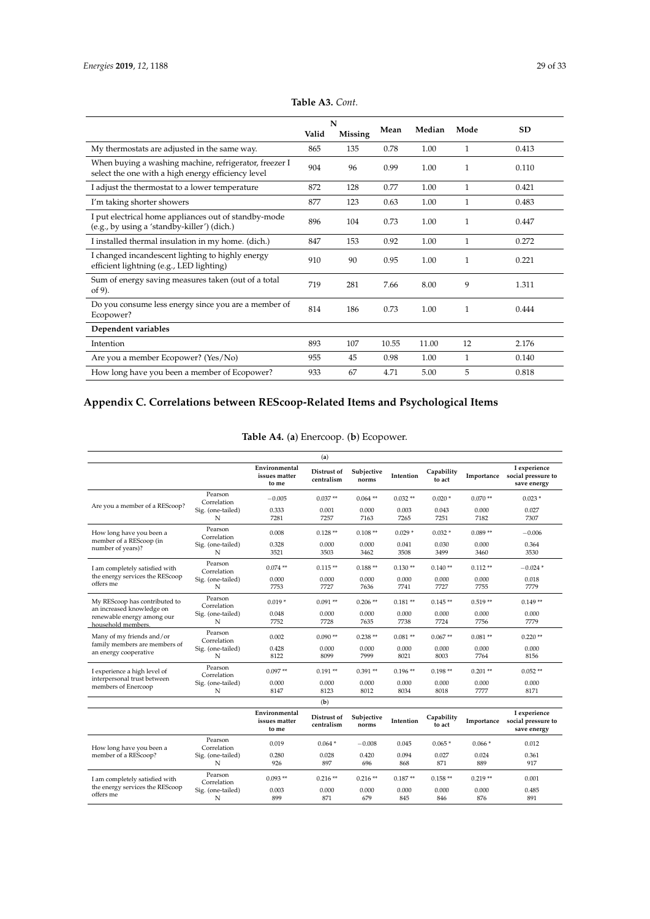|                                                                                                              | Valid | N<br><b>Missing</b> | Mean  | Median | Mode         | SD.   |
|--------------------------------------------------------------------------------------------------------------|-------|---------------------|-------|--------|--------------|-------|
| My thermostats are adjusted in the same way.                                                                 | 865   | 135                 | 0.78  | 1.00   | 1            | 0.413 |
| When buying a washing machine, refrigerator, freezer I<br>select the one with a high energy efficiency level | 904   | 96                  | 0.99  | 1.00   | $\mathbf{1}$ | 0.110 |
| I adjust the thermostat to a lower temperature                                                               | 872   | 128                 | 0.77  | 1.00   | 1            | 0.421 |
| I'm taking shorter showers                                                                                   | 877   | 123                 | 0.63  | 1.00   | $\mathbf{1}$ | 0.483 |
| I put electrical home appliances out of standby-mode<br>(e.g., by using a 'standby-killer') (dich.)          | 896   | 104                 | 0.73  | 1.00   | $\mathbf{1}$ | 0.447 |
| I installed thermal insulation in my home. (dich.)                                                           | 847   | 153                 | 0.92  | 1.00   | 1            | 0.272 |
| I changed incandescent lighting to highly energy<br>efficient lightning (e.g., LED lighting)                 | 910   | 90                  | 0.95  | 1.00   | 1            | 0.221 |
| Sum of energy saving measures taken (out of a total<br>of 9 $)$ .                                            | 719   | 281                 | 7.66  | 8.00   | 9            | 1.311 |
| Do you consume less energy since you are a member of<br>Ecopower?                                            | 814   | 186                 | 0.73  | 1.00   | 1            | 0.444 |
| Dependent variables                                                                                          |       |                     |       |        |              |       |
| Intention                                                                                                    | 893   | 107                 | 10.55 | 11.00  | 12           | 2.176 |
| Are you a member Ecopower? (Yes/No)                                                                          | 955   | 45                  | 0.98  | 1.00   | 1            | 0.140 |
| How long have you been a member of Ecopower?                                                                 | 933   | 67                  | 4.71  | 5.00   | 5            | 0.818 |

## **Table A3.** *Cont.*

# <span id="page-29-0"></span>**Appendix C. Correlations between REScoop-Related Items and Psychological Items**

|                                                                                                                |                        |                                         | (a)                       |                     |               |                      |               |                                                   |
|----------------------------------------------------------------------------------------------------------------|------------------------|-----------------------------------------|---------------------------|---------------------|---------------|----------------------|---------------|---------------------------------------------------|
|                                                                                                                |                        | Environmental<br>issues matter<br>to me | Distrust of<br>centralism | Subjective<br>norms | Intention     | Capability<br>to act | Importance    | I experience<br>social pressure to<br>save energy |
| Are you a member of a REScoop?                                                                                 | Pearson<br>Correlation | $-0.005$                                | $0.037**$                 | $0.064$ **          | $0.032**$     | $0.020*$             | $0.070**$     | $0.023*$                                          |
|                                                                                                                | Sig. (one-tailed)<br>N | 0.333<br>7281                           | 0.001<br>7257             | 0.000<br>7163       | 0.003<br>7265 | 0.043<br>7251        | 0.000<br>7182 | 0.027<br>7307                                     |
| How long have you been a<br>member of a REScoop (in<br>number of years)?                                       | Pearson<br>Correlation | 0.008                                   | $0.128**$                 | $0.108**$           | $0.029*$      | $0.032*$             | $0.089**$     | $-0.006$                                          |
|                                                                                                                | Sig. (one-tailed)<br>N | 0.328<br>3521                           | 0.000<br>3503             | 0.000<br>3462       | 0.041<br>3508 | 0.030<br>3499        | 0.000<br>3460 | 0.364<br>3530                                     |
| I am completely satisfied with<br>the energy services the REScoop<br>offers me                                 | Pearson<br>Correlation | $0.074**$                               | $0.115**$                 | $0.188**$           | $0.130**$     | $0.140**$            | $0.112**$     | $-0.024*$                                         |
|                                                                                                                | Sig. (one-tailed)<br>N | 0.000<br>7753                           | 0.000<br>7727             | 0.000<br>7636       | 0.000<br>7741 | 0.000<br>7727        | 0.000<br>7755 | 0.018<br>7779                                     |
| My REScoop has contributed to<br>an increased knowledge on<br>renewable energy among our<br>household members. | Pearson<br>Correlation | $0.019*$                                | $0.091**$                 | $0.206**$           | $0.181**$     | $0.145**$            | $0.519**$     | $0.149**$                                         |
|                                                                                                                | Sig. (one-tailed)<br>N | 0.048<br>7752                           | 0.000<br>7728             | 0.000<br>7635       | 0.000<br>7738 | 0.000<br>7724        | 0.000<br>7756 | 0.000<br>7779                                     |
| Many of my friends and/or                                                                                      | Pearson<br>Correlation | 0.002                                   | $0.090**$                 | $0.238**$           | $0.081**$     | $0.067**$            | $0.081**$     | $0.220**$                                         |
| family members are members of<br>an energy cooperative                                                         | Sig. (one-tailed)<br>N | 0.428<br>8122                           | 0.000<br>8099             | 0.000<br>7999       | 0.000<br>8021 | 0.000<br>8003        | 0.000<br>7764 | 0.000<br>8156                                     |
| I experience a high level of                                                                                   | Pearson<br>Correlation | $0.097**$                               | $0.191**$                 | $0.391**$           | $0.196**$     | $0.198**$            | $0.201$ **    | $0.052**$                                         |
| interpersonal trust between<br>members of Enercoop                                                             | Sig. (one-tailed)<br>N | 0.000<br>8147                           | 0.000<br>8123             | 0.000<br>8012       | 0.000<br>8034 | 0.000<br>8018        | 0.000<br>7777 | 0.000<br>8171                                     |
|                                                                                                                |                        |                                         | (b)                       |                     |               |                      |               |                                                   |
|                                                                                                                |                        | Environmental<br>issues matter<br>to me | Distrust of<br>centralism | Subjective<br>norms | Intention     | Capability<br>to act | Importance    | I experience<br>social pressure to<br>save energy |
| How long have you been a                                                                                       | Pearson<br>Correlation | 0.019                                   | $0.064*$                  | $-0.008$            | 0.045         | $0.065*$             | $0.066*$      | 0.012                                             |
| member of a REScoop?                                                                                           | Sig. (one-tailed)<br>N | 0.280<br>926                            | 0.028<br>897              | 0.420<br>696        | 0.094<br>868  | 0.027<br>871         | 0.024<br>889  | 0.361<br>917                                      |
| I am completely satisfied with                                                                                 | Pearson<br>Correlation | $0.093**$                               | $0.216**$                 | $0.216**$           | $0.187**$     | $0.158**$            | $0.219**$     | 0.001                                             |
| the energy services the REScoop<br>offers me                                                                   | Sig. (one-tailed)<br>N | 0.003<br>899                            | 0.000<br>871              | 0.000<br>679        | 0.000<br>845  | 0.000<br>846         | 0.000<br>876  | 0.485<br>891                                      |

# **Table A4.** (**a**) Enercoop. (**b**) Ecopower.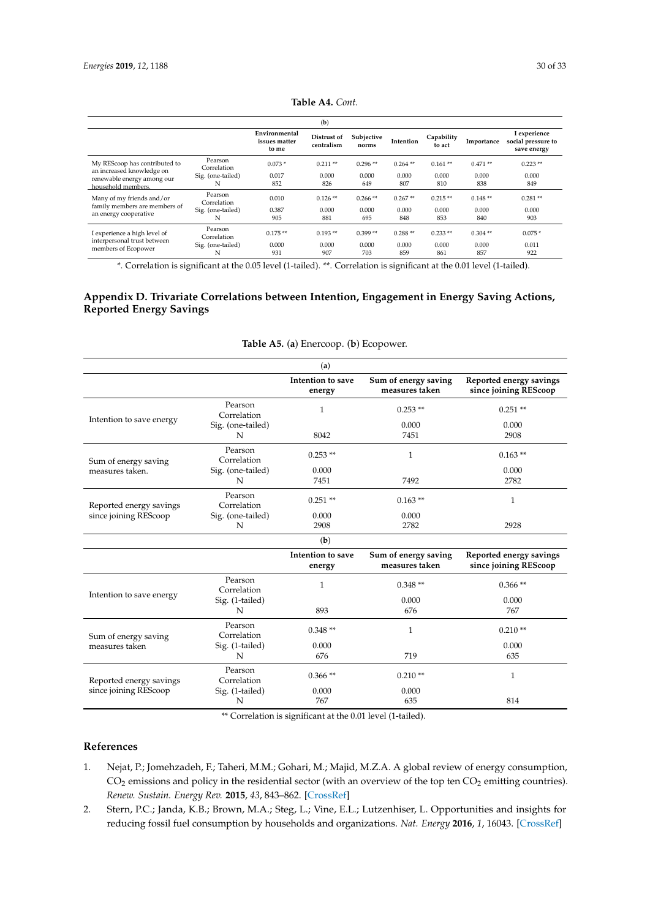|                                                                                                                |                        |                                         | (b)                       |                     |              |                      |              |                                                   |
|----------------------------------------------------------------------------------------------------------------|------------------------|-----------------------------------------|---------------------------|---------------------|--------------|----------------------|--------------|---------------------------------------------------|
|                                                                                                                |                        | Environmental<br>issues matter<br>to me | Distrust of<br>centralism | Subjective<br>norms | Intention    | Capability<br>to act | Importance   | I experience<br>social pressure to<br>save energy |
| My REScoop has contributed to<br>an increased knowledge on<br>renewable energy among our<br>household members. | Pearson<br>Correlation | $0.073*$                                | $0.211**$                 | $0.296**$           | $0.264$ **   | $0.161**$            | $0.471**$    | $0.223$ **                                        |
|                                                                                                                | Sig. (one-tailed)      | 0.017                                   | 0.000                     | 0.000               | 0.000        | 0.000                | 0.000        | 0.000                                             |
|                                                                                                                | N                      | 852                                     | 826                       | 649                 | 807          | 810                  | 838          | 849                                               |
| Many of my friends and/or                                                                                      | Pearson<br>Correlation | 0.010                                   | $0.126**$                 | $0.266**$           | $0.267**$    | $0.215**$            | $0.148**$    | $0.281**$                                         |
| family members are members of                                                                                  | Sig. (one-tailed)      | 0.387                                   | 0.000                     | 0.000               | 0.000        | 0.000                | 0.000        | 0.000                                             |
| an energy cooperative                                                                                          | N                      | 905                                     | 881                       | 695                 | 848          | 853                  | 840          | 903                                               |
| I experience a high level of                                                                                   | Pearson<br>Correlation | $0.175**$                               | $0.193**$                 | $0.399**$           | $0.288**$    | $0.233**$            | $0.304$ **   | $0.075*$                                          |
| interpersonal trust between<br>members of Ecopower                                                             | Sig. (one-tailed)<br>N | 0.000<br>931                            | 0.000<br>907              | 0.000<br>703        | 0.000<br>859 | 0.000<br>861         | 0.000<br>857 | 0.011<br>922                                      |
|                                                                                                                |                        |                                         |                           |                     |              |                      |              |                                                   |

## **Table A4.** *Cont.*

\*. Correlation is significant at the 0.05 level (1-tailed). \*\*. Correlation is significant at the 0.01 level (1-tailed).

## <span id="page-30-2"></span>**Appendix D. Trivariate Correlations between Intention, Engagement in Energy Saving Actions, Reported Energy Savings**

| Intention to save<br>Sum of energy saving<br>Reported energy savings<br>since joining REScoop<br>measures taken<br>energy<br>Pearson<br>$0.253**$<br>$0.251**$<br>$\mathbf{1}$<br>Correlation<br>Intention to save energy<br>Sig. (one-tailed)<br>0.000<br>0.000<br>N<br>8042<br>7451<br>2908<br>Pearson<br>$0.253**$<br>$\mathbf{1}$<br>$0.163**$<br>Correlation<br>Sum of energy saving<br>Sig. (one-tailed)<br>0.000<br>0.000<br>measures taken.<br>2782<br>N<br>7451<br>7492<br>Pearson<br>$0.251**$<br>$0.163**$<br>$\mathbf{1}$<br>Reported energy savings<br>Correlation<br>since joining REScoop<br>Sig. (one-tailed)<br>0.000<br>0.000<br>2908<br>2928<br>N<br>2782<br>(b)<br>Intention to save<br>Sum of energy saving<br>Reported energy savings<br>since joining REScoop<br>measures taken<br>energy<br>Pearson<br>$0.366**$<br>$\mathbf{1}$<br>$0.348**$<br>Correlation<br>Intention to save energy<br>Sig. (1-tailed)<br>0.000<br>0.000<br>893<br>676<br>767<br>N<br>Pearson<br>$0.348**$<br>$0.210**$<br>$\mathbf{1}$<br>Correlation<br>Sum of energy saving<br>Sig. (1-tailed)<br>0.000<br>0.000<br>measures taken<br>N<br>676<br>719<br>635<br>Pearson<br>$0.366**$<br>$0.210**$<br>$\mathbf{1}$<br>Reported energy savings<br>Correlation<br>since joining REScoop<br>Sig. (1-tailed)<br>0.000<br>0.000<br>767<br>635<br>814<br>N |  | (a) |  |
|-----------------------------------------------------------------------------------------------------------------------------------------------------------------------------------------------------------------------------------------------------------------------------------------------------------------------------------------------------------------------------------------------------------------------------------------------------------------------------------------------------------------------------------------------------------------------------------------------------------------------------------------------------------------------------------------------------------------------------------------------------------------------------------------------------------------------------------------------------------------------------------------------------------------------------------------------------------------------------------------------------------------------------------------------------------------------------------------------------------------------------------------------------------------------------------------------------------------------------------------------------------------------------------------------------------------------------------------------------|--|-----|--|
|                                                                                                                                                                                                                                                                                                                                                                                                                                                                                                                                                                                                                                                                                                                                                                                                                                                                                                                                                                                                                                                                                                                                                                                                                                                                                                                                                     |  |     |  |
|                                                                                                                                                                                                                                                                                                                                                                                                                                                                                                                                                                                                                                                                                                                                                                                                                                                                                                                                                                                                                                                                                                                                                                                                                                                                                                                                                     |  |     |  |
|                                                                                                                                                                                                                                                                                                                                                                                                                                                                                                                                                                                                                                                                                                                                                                                                                                                                                                                                                                                                                                                                                                                                                                                                                                                                                                                                                     |  |     |  |
|                                                                                                                                                                                                                                                                                                                                                                                                                                                                                                                                                                                                                                                                                                                                                                                                                                                                                                                                                                                                                                                                                                                                                                                                                                                                                                                                                     |  |     |  |
|                                                                                                                                                                                                                                                                                                                                                                                                                                                                                                                                                                                                                                                                                                                                                                                                                                                                                                                                                                                                                                                                                                                                                                                                                                                                                                                                                     |  |     |  |
|                                                                                                                                                                                                                                                                                                                                                                                                                                                                                                                                                                                                                                                                                                                                                                                                                                                                                                                                                                                                                                                                                                                                                                                                                                                                                                                                                     |  |     |  |
|                                                                                                                                                                                                                                                                                                                                                                                                                                                                                                                                                                                                                                                                                                                                                                                                                                                                                                                                                                                                                                                                                                                                                                                                                                                                                                                                                     |  |     |  |
|                                                                                                                                                                                                                                                                                                                                                                                                                                                                                                                                                                                                                                                                                                                                                                                                                                                                                                                                                                                                                                                                                                                                                                                                                                                                                                                                                     |  |     |  |
|                                                                                                                                                                                                                                                                                                                                                                                                                                                                                                                                                                                                                                                                                                                                                                                                                                                                                                                                                                                                                                                                                                                                                                                                                                                                                                                                                     |  |     |  |
|                                                                                                                                                                                                                                                                                                                                                                                                                                                                                                                                                                                                                                                                                                                                                                                                                                                                                                                                                                                                                                                                                                                                                                                                                                                                                                                                                     |  |     |  |
|                                                                                                                                                                                                                                                                                                                                                                                                                                                                                                                                                                                                                                                                                                                                                                                                                                                                                                                                                                                                                                                                                                                                                                                                                                                                                                                                                     |  |     |  |
|                                                                                                                                                                                                                                                                                                                                                                                                                                                                                                                                                                                                                                                                                                                                                                                                                                                                                                                                                                                                                                                                                                                                                                                                                                                                                                                                                     |  |     |  |
|                                                                                                                                                                                                                                                                                                                                                                                                                                                                                                                                                                                                                                                                                                                                                                                                                                                                                                                                                                                                                                                                                                                                                                                                                                                                                                                                                     |  |     |  |
|                                                                                                                                                                                                                                                                                                                                                                                                                                                                                                                                                                                                                                                                                                                                                                                                                                                                                                                                                                                                                                                                                                                                                                                                                                                                                                                                                     |  |     |  |
|                                                                                                                                                                                                                                                                                                                                                                                                                                                                                                                                                                                                                                                                                                                                                                                                                                                                                                                                                                                                                                                                                                                                                                                                                                                                                                                                                     |  |     |  |
|                                                                                                                                                                                                                                                                                                                                                                                                                                                                                                                                                                                                                                                                                                                                                                                                                                                                                                                                                                                                                                                                                                                                                                                                                                                                                                                                                     |  |     |  |
|                                                                                                                                                                                                                                                                                                                                                                                                                                                                                                                                                                                                                                                                                                                                                                                                                                                                                                                                                                                                                                                                                                                                                                                                                                                                                                                                                     |  |     |  |
|                                                                                                                                                                                                                                                                                                                                                                                                                                                                                                                                                                                                                                                                                                                                                                                                                                                                                                                                                                                                                                                                                                                                                                                                                                                                                                                                                     |  |     |  |
|                                                                                                                                                                                                                                                                                                                                                                                                                                                                                                                                                                                                                                                                                                                                                                                                                                                                                                                                                                                                                                                                                                                                                                                                                                                                                                                                                     |  |     |  |
|                                                                                                                                                                                                                                                                                                                                                                                                                                                                                                                                                                                                                                                                                                                                                                                                                                                                                                                                                                                                                                                                                                                                                                                                                                                                                                                                                     |  |     |  |

## **Table A5.** (**a**) Enercoop. (**b**) Ecopower.

\*\* Correlation is significant at the 0.01 level (1-tailed).

## **References**

- <span id="page-30-0"></span>1. Nejat, P.; Jomehzadeh, F.; Taheri, M.M.; Gohari, M.; Majid, M.Z.A. A global review of energy consumption,  $CO<sub>2</sub>$  emissions and policy in the residential sector (with an overview of the top ten  $CO<sub>2</sub>$  emitting countries). *Renew. Sustain. Energy Rev.* **2015**, *43*, 843–862. [\[CrossRef\]](http://dx.doi.org/10.1016/j.rser.2014.11.066)
- <span id="page-30-1"></span>2. Stern, P.C.; Janda, K.B.; Brown, M.A.; Steg, L.; Vine, E.L.; Lutzenhiser, L. Opportunities and insights for reducing fossil fuel consumption by households and organizations. *Nat. Energy* **2016**, *1*, 16043. [\[CrossRef\]](http://dx.doi.org/10.1038/nenergy.2016.43)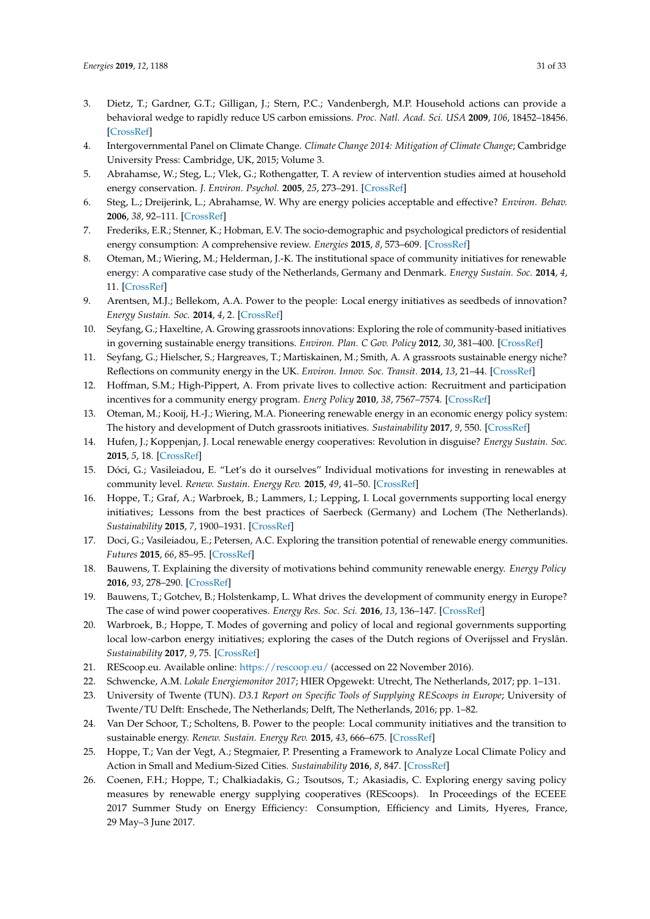- <span id="page-31-0"></span>3. Dietz, T.; Gardner, G.T.; Gilligan, J.; Stern, P.C.; Vandenbergh, M.P. Household actions can provide a behavioral wedge to rapidly reduce US carbon emissions. *Proc. Natl. Acad. Sci. USA* **2009**, *106*, 18452–18456. [\[CrossRef\]](http://dx.doi.org/10.1073/pnas.0908738106)
- <span id="page-31-1"></span>4. Intergovernmental Panel on Climate Change. *Climate Change 2014: Mitigation of Climate Change*; Cambridge University Press: Cambridge, UK, 2015; Volume 3.
- <span id="page-31-2"></span>5. Abrahamse, W.; Steg, L.; Vlek, G.; Rothengatter, T. A review of intervention studies aimed at household energy conservation. *J. Environ. Psychol.* **2005**, *25*, 273–291. [\[CrossRef\]](http://dx.doi.org/10.1016/j.jenvp.2005.08.002)
- 6. Steg, L.; Dreijerink, L.; Abrahamse, W. Why are energy policies acceptable and effective? *Environ. Behav.* **2006**, *38*, 92–111. [\[CrossRef\]](http://dx.doi.org/10.1177/0013916505278519)
- <span id="page-31-3"></span>7. Frederiks, E.R.; Stenner, K.; Hobman, E.V. The socio-demographic and psychological predictors of residential energy consumption: A comprehensive review. *Energies* **2015**, *8*, 573–609. [\[CrossRef\]](http://dx.doi.org/10.3390/en8010573)
- <span id="page-31-4"></span>8. Oteman, M.; Wiering, M.; Helderman, J.-K. The institutional space of community initiatives for renewable energy: A comparative case study of the Netherlands, Germany and Denmark. *Energy Sustain. Soc.* **2014**, *4*, 11. [\[CrossRef\]](http://dx.doi.org/10.1186/2192-0567-4-11)
- 9. Arentsen, M.J.; Bellekom, A.A. Power to the people: Local energy initiatives as seedbeds of innovation? *Energy Sustain. Soc.* **2014**, *4*, 2. [\[CrossRef\]](http://dx.doi.org/10.1186/2192-0567-4-2)
- <span id="page-31-18"></span>10. Seyfang, G.; Haxeltine, A. Growing grassroots innovations: Exploring the role of community-based initiatives in governing sustainable energy transitions. *Environ. Plan. C Gov. Policy* **2012**, *30*, 381–400. [\[CrossRef\]](http://dx.doi.org/10.1068/c10222)
- <span id="page-31-8"></span>11. Seyfang, G.; Hielscher, S.; Hargreaves, T.; Martiskainen, M.; Smith, A. A grassroots sustainable energy niche? Reflections on community energy in the UK. *Environ. Innov. Soc. Transit.* **2014**, *13*, 21–44. [\[CrossRef\]](http://dx.doi.org/10.1016/j.eist.2014.04.004)
- 12. Hoffman, S.M.; High-Pippert, A. From private lives to collective action: Recruitment and participation incentives for a community energy program. *Energ Policy* **2010**, *38*, 7567–7574. [\[CrossRef\]](http://dx.doi.org/10.1016/j.enpol.2009.06.054)
- 13. Oteman, M.; Kooij, H.-J.; Wiering, M.A. Pioneering renewable energy in an economic energy policy system: The history and development of Dutch grassroots initiatives. *Sustainability* **2017**, *9*, 550. [\[CrossRef\]](http://dx.doi.org/10.3390/su9040550)
- <span id="page-31-5"></span>14. Hufen, J.; Koppenjan, J. Local renewable energy cooperatives: Revolution in disguise? *Energy Sustain. Soc.* **2015**, *5*, 18. [\[CrossRef\]](http://dx.doi.org/10.1186/s13705-015-0046-8)
- <span id="page-31-6"></span>15. Dóci, G.; Vasileiadou, E. "Let's do it ourselves" Individual motivations for investing in renewables at community level. *Renew. Sustain. Energy Rev.* **2015**, *49*, 41–50. [\[CrossRef\]](http://dx.doi.org/10.1016/j.rser.2015.04.051)
- <span id="page-31-7"></span>16. Hoppe, T.; Graf, A.; Warbroek, B.; Lammers, I.; Lepping, I. Local governments supporting local energy initiatives; Lessons from the best practices of Saerbeck (Germany) and Lochem (The Netherlands). *Sustainability* **2015**, *7*, 1900–1931. [\[CrossRef\]](http://dx.doi.org/10.3390/su7021900)
- <span id="page-31-9"></span>17. Doci, G.; Vasileiadou, E.; Petersen, A.C. Exploring the transition potential of renewable energy communities. *Futures* **2015**, *66*, 85–95. [\[CrossRef\]](http://dx.doi.org/10.1016/j.futures.2015.01.002)
- <span id="page-31-17"></span>18. Bauwens, T. Explaining the diversity of motivations behind community renewable energy. *Energy Policy* **2016**, *93*, 278–290. [\[CrossRef\]](http://dx.doi.org/10.1016/j.enpol.2016.03.017)
- <span id="page-31-10"></span>19. Bauwens, T.; Gotchev, B.; Holstenkamp, L. What drives the development of community energy in Europe? The case of wind power cooperatives. *Energy Res. Soc. Sci.* **2016**, *13*, 136–147. [\[CrossRef\]](http://dx.doi.org/10.1016/j.erss.2015.12.016)
- <span id="page-31-11"></span>20. Warbroek, B.; Hoppe, T. Modes of governing and policy of local and regional governments supporting local low-carbon energy initiatives; exploring the cases of the Dutch regions of Overijssel and Fryslân. *Sustainability* **2017**, *9*, 75. [\[CrossRef\]](http://dx.doi.org/10.3390/su9010075)
- <span id="page-31-12"></span>21. REScoop.eu. Available online: <https://rescoop.eu/> (accessed on 22 November 2016).
- <span id="page-31-13"></span>22. Schwencke, A.M. *Lokale Energiemonitor 2017*; HIER Opgewekt: Utrecht, The Netherlands, 2017; pp. 1–131.
- <span id="page-31-14"></span>23. University of Twente (TUN). *D3.1 Report on Specific Tools of Supplying REScoops in Europe*; University of Twente/TU Delft: Enschede, The Netherlands; Delft, The Netherlands, 2016; pp. 1–82.
- <span id="page-31-15"></span>24. Van Der Schoor, T.; Scholtens, B. Power to the people: Local community initiatives and the transition to sustainable energy. *Renew. Sustain. Energy Rev.* **2015**, *43*, 666–675. [\[CrossRef\]](http://dx.doi.org/10.1016/j.rser.2014.10.089)
- 25. Hoppe, T.; Van der Vegt, A.; Stegmaier, P. Presenting a Framework to Analyze Local Climate Policy and Action in Small and Medium-Sized Cities. *Sustainability* **2016**, *8*, 847. [\[CrossRef\]](http://dx.doi.org/10.3390/su8090847)
- <span id="page-31-16"></span>26. Coenen, F.H.; Hoppe, T.; Chalkiadakis, G.; Tsoutsos, T.; Akasiadis, C. Exploring energy saving policy measures by renewable energy supplying cooperatives (REScoops). In Proceedings of the ECEEE 2017 Summer Study on Energy Efficiency: Consumption, Efficiency and Limits, Hyeres, France, 29 May–3 June 2017.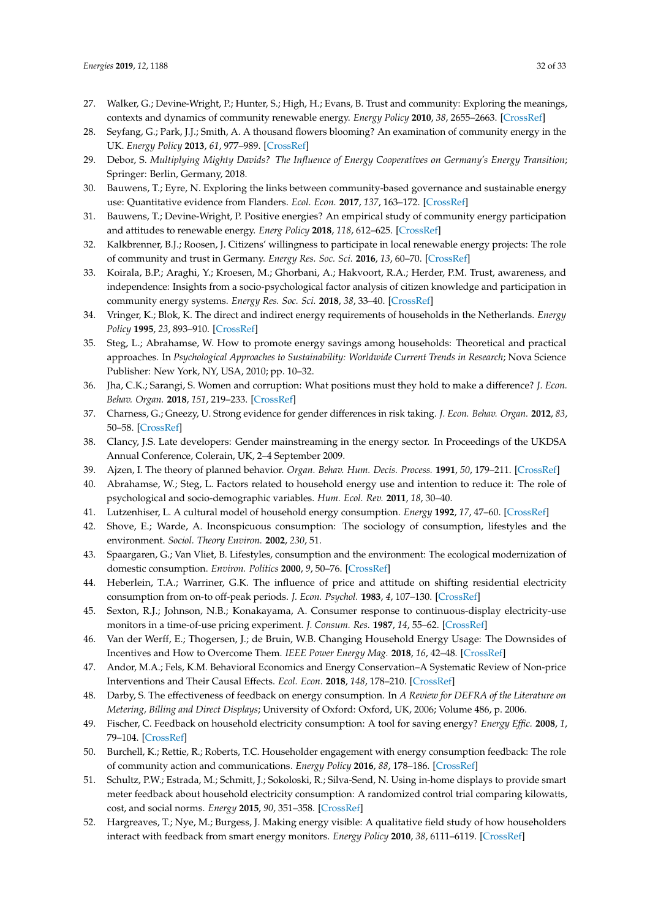- <span id="page-32-0"></span>27. Walker, G.; Devine-Wright, P.; Hunter, S.; High, H.; Evans, B. Trust and community: Exploring the meanings, contexts and dynamics of community renewable energy. *Energy Policy* **2010**, *38*, 2655–2663. [\[CrossRef\]](http://dx.doi.org/10.1016/j.enpol.2009.05.055)
- 28. Seyfang, G.; Park, J.J.; Smith, A. A thousand flowers blooming? An examination of community energy in the UK. *Energy Policy* **2013**, *61*, 977–989. [\[CrossRef\]](http://dx.doi.org/10.1016/j.enpol.2013.06.030)
- <span id="page-32-1"></span>29. Debor, S. *Multiplying Mighty Davids? The Influence of Energy Cooperatives on Germany's Energy Transition*; Springer: Berlin, Germany, 2018.
- <span id="page-32-2"></span>30. Bauwens, T.; Eyre, N. Exploring the links between community-based governance and sustainable energy use: Quantitative evidence from Flanders. *Ecol. Econ.* **2017**, *137*, 163–172. [\[CrossRef\]](http://dx.doi.org/10.1016/j.ecolecon.2017.03.006)
- <span id="page-32-22"></span>31. Bauwens, T.; Devine-Wright, P. Positive energies? An empirical study of community energy participation and attitudes to renewable energy. *Energ Policy* **2018**, *118*, 612–625. [\[CrossRef\]](http://dx.doi.org/10.1016/j.enpol.2018.03.062)
- <span id="page-32-23"></span>32. Kalkbrenner, B.J.; Roosen, J. Citizens' willingness to participate in local renewable energy projects: The role of community and trust in Germany. *Energy Res. Soc. Sci.* **2016**, *13*, 60–70. [\[CrossRef\]](http://dx.doi.org/10.1016/j.erss.2015.12.006)
- <span id="page-32-3"></span>33. Koirala, B.P.; Araghi, Y.; Kroesen, M.; Ghorbani, A.; Hakvoort, R.A.; Herder, P.M. Trust, awareness, and independence: Insights from a socio-psychological factor analysis of citizen knowledge and participation in community energy systems. *Energy Res. Soc. Sci.* **2018**, *38*, 33–40. [\[CrossRef\]](http://dx.doi.org/10.1016/j.erss.2018.01.009)
- <span id="page-32-4"></span>34. Vringer, K.; Blok, K. The direct and indirect energy requirements of households in the Netherlands. *Energy Policy* **1995**, *23*, 893–910. [\[CrossRef\]](http://dx.doi.org/10.1016/0301-4215(95)00072-Q)
- <span id="page-32-5"></span>35. Steg, L.; Abrahamse, W. How to promote energy savings among households: Theoretical and practical approaches. In *Psychological Approaches to Sustainability: Worldwide Current Trends in Research*; Nova Science Publisher: New York, NY, USA, 2010; pp. 10–32.
- <span id="page-32-6"></span>36. Jha, C.K.; Sarangi, S. Women and corruption: What positions must they hold to make a difference? *J. Econ. Behav. Organ.* **2018**, *151*, 219–233. [\[CrossRef\]](http://dx.doi.org/10.1016/j.jebo.2018.03.021)
- <span id="page-32-7"></span>37. Charness, G.; Gneezy, U. Strong evidence for gender differences in risk taking. *J. Econ. Behav. Organ.* **2012**, *83*, 50–58. [\[CrossRef\]](http://dx.doi.org/10.1016/j.jebo.2011.06.007)
- <span id="page-32-8"></span>38. Clancy, J.S. Late developers: Gender mainstreaming in the energy sector. In Proceedings of the UKDSA Annual Conference, Colerain, UK, 2–4 September 2009.
- <span id="page-32-9"></span>39. Ajzen, I. The theory of planned behavior. *Organ. Behav. Hum. Decis. Process.* **1991**, *50*, 179–211. [\[CrossRef\]](http://dx.doi.org/10.1016/0749-5978(91)90020-T)
- <span id="page-32-10"></span>40. Abrahamse, W.; Steg, L. Factors related to household energy use and intention to reduce it: The role of psychological and socio-demographic variables. *Hum. Ecol. Rev.* **2011**, *18*, 30–40.
- <span id="page-32-11"></span>41. Lutzenhiser, L. A cultural model of household energy consumption. *Energy* **1992**, *17*, 47–60. [\[CrossRef\]](http://dx.doi.org/10.1016/0360-5442(92)90032-U)
- 42. Shove, E.; Warde, A. Inconspicuous consumption: The sociology of consumption, lifestyles and the environment. *Sociol. Theory Environ.* **2002**, *230*, 51.
- <span id="page-32-12"></span>43. Spaargaren, G.; Van Vliet, B. Lifestyles, consumption and the environment: The ecological modernization of domestic consumption. *Environ. Politics* **2000**, *9*, 50–76. [\[CrossRef\]](http://dx.doi.org/10.1080/09644010008414512)
- <span id="page-32-13"></span>44. Heberlein, T.A.; Warriner, G.K. The influence of price and attitude on shifting residential electricity consumption from on-to off-peak periods. *J. Econ. Psychol.* **1983**, *4*, 107–130. [\[CrossRef\]](http://dx.doi.org/10.1016/0167-4870(83)90048-X)
- <span id="page-32-14"></span>45. Sexton, R.J.; Johnson, N.B.; Konakayama, A. Consumer response to continuous-display electricity-use monitors in a time-of-use pricing experiment. *J. Consum. Res.* **1987**, *14*, 55–62. [\[CrossRef\]](http://dx.doi.org/10.1086/209092)
- <span id="page-32-15"></span>46. Van der Werff, E.; Thogersen, J.; de Bruin, W.B. Changing Household Energy Usage: The Downsides of Incentives and How to Overcome Them. *IEEE Power Energy Mag.* **2018**, *16*, 42–48. [\[CrossRef\]](http://dx.doi.org/10.1109/MPE.2017.2759884)
- <span id="page-32-16"></span>47. Andor, M.A.; Fels, K.M. Behavioral Economics and Energy Conservation–A Systematic Review of Non-price Interventions and Their Causal Effects. *Ecol. Econ.* **2018**, *148*, 178–210. [\[CrossRef\]](http://dx.doi.org/10.1016/j.ecolecon.2018.01.018)
- <span id="page-32-17"></span>48. Darby, S. The effectiveness of feedback on energy consumption. In *A Review for DEFRA of the Literature on Metering, Billing and Direct Displays*; University of Oxford: Oxford, UK, 2006; Volume 486, p. 2006.
- <span id="page-32-18"></span>49. Fischer, C. Feedback on household electricity consumption: A tool for saving energy? *Energy Effic.* **2008**, *1*, 79–104. [\[CrossRef\]](http://dx.doi.org/10.1007/s12053-008-9009-7)
- <span id="page-32-19"></span>50. Burchell, K.; Rettie, R.; Roberts, T.C. Householder engagement with energy consumption feedback: The role of community action and communications. *Energy Policy* **2016**, *88*, 178–186. [\[CrossRef\]](http://dx.doi.org/10.1016/j.enpol.2015.10.019)
- <span id="page-32-20"></span>51. Schultz, P.W.; Estrada, M.; Schmitt, J.; Sokoloski, R.; Silva-Send, N. Using in-home displays to provide smart meter feedback about household electricity consumption: A randomized control trial comparing kilowatts, cost, and social norms. *Energy* **2015**, *90*, 351–358. [\[CrossRef\]](http://dx.doi.org/10.1016/j.energy.2015.06.130)
- <span id="page-32-21"></span>52. Hargreaves, T.; Nye, M.; Burgess, J. Making energy visible: A qualitative field study of how householders interact with feedback from smart energy monitors. *Energy Policy* **2010**, *38*, 6111–6119. [\[CrossRef\]](http://dx.doi.org/10.1016/j.enpol.2010.05.068)